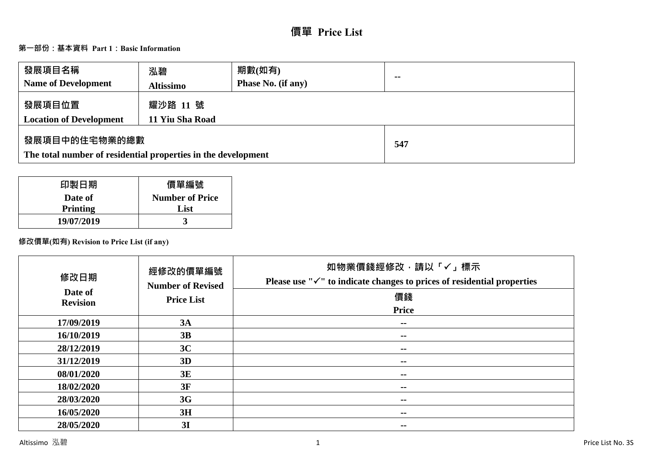# **價單 Price List**

# **第一部份:基本資料 Part 1:Basic Information**

| 發展項目名稱<br><b>Name of Development</b>                                           | 泓碧<br><b>Altissimo</b>      | 期數(如有)<br>Phase No. (if any) | $\sim$ |
|--------------------------------------------------------------------------------|-----------------------------|------------------------------|--------|
| 發展項目位置<br><b>Location of Development</b>                                       | 耀沙路 11 號<br>11 Yiu Sha Road |                              |        |
| 發展項目中的住宅物業的總數<br>The total number of residential properties in the development |                             | 547                          |        |

| 印製日期       | 價單編號                   |
|------------|------------------------|
| Date of    | <b>Number of Price</b> |
| Printing   | List                   |
| 19/07/2019 |                        |

# **修改價單(如有) Revision to Price List (if any)**

| 修改日期<br>Date of | 經修改的價單編號<br><b>Number of Revised</b> | 如物業價錢經修改,請以「✓」標示<br>Please use " $\checkmark$ " to indicate changes to prices of residential properties |
|-----------------|--------------------------------------|---------------------------------------------------------------------------------------------------------|
| <b>Revision</b> | <b>Price List</b>                    | 價錢                                                                                                      |
|                 |                                      | <b>Price</b>                                                                                            |
| 17/09/2019      | 3A                                   | --                                                                                                      |
| 16/10/2019      | 3B                                   | $\sim$ $\sim$                                                                                           |
| 28/12/2019      | 3C                                   | $- -$                                                                                                   |
| 31/12/2019      | 3D                                   | $\sim$ $\sim$                                                                                           |
| 08/01/2020      | 3E                                   | --                                                                                                      |
| 18/02/2020      | 3F                                   | $\sim$ $\sim$                                                                                           |
| 28/03/2020      | 3G                                   | --                                                                                                      |
| 16/05/2020      | 3H                                   | --                                                                                                      |
| 28/05/2020      | 3I                                   | --                                                                                                      |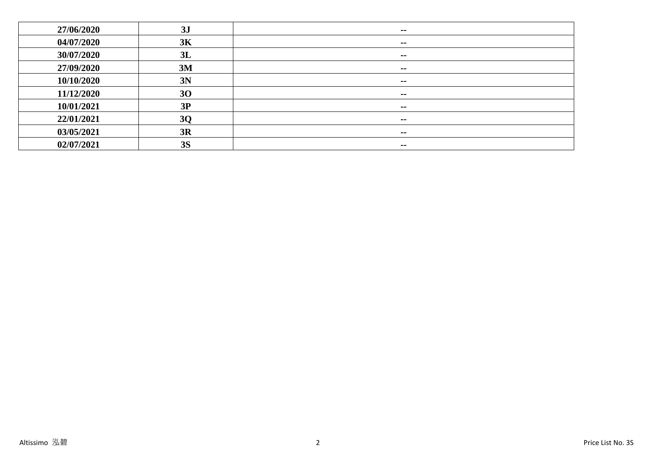| 27/06/2020 | 3J        | $\sim$        |
|------------|-----------|---------------|
| 04/07/2020 | 3K        | $- -$         |
| 30/07/2020 | 3L        | $\sim$        |
| 27/09/2020 | 3M        | $\sim$ $-$    |
| 10/10/2020 | 3N        | $\sim$        |
| 11/12/2020 | 30        | $\sim$ $-$    |
| 10/01/2021 | 3P        | $\sim$        |
| 22/01/2021 | <b>3Q</b> | $- -$         |
| 03/05/2021 | 3R        | $\sim$ $\sim$ |
| 02/07/2021 | <b>3S</b> | $\sim$ $\sim$ |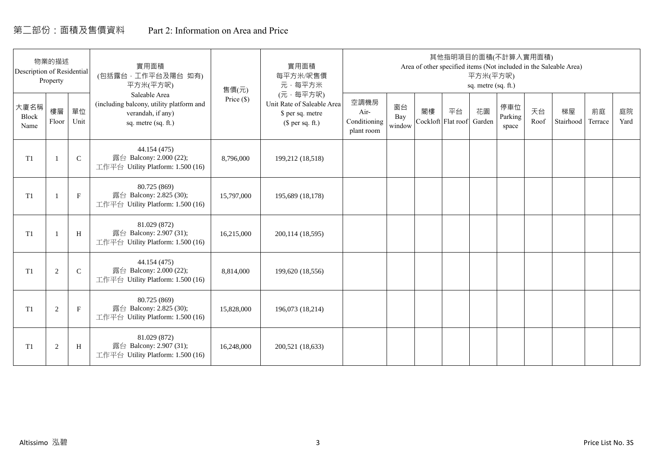# 第二部份:面積及售價資料 Part 2: Information on Area and Price

| Description of Residential | 物業的描述<br>Property |             | 實用面積<br>(包括露台·工作平台及陽台 如有)<br>平方米(平方呎)                                                                 | 售價(元)        | 實用面積<br>每平方米/呎售價<br>元·每平方米                                                     |                                            |                     |    | 其他指明項目的面積(不計算入實用面積)      | 平方米(平方呎)<br>sq. metre (sq. ft.) |                         |            | Area of other specified items (Not included in the Saleable Area) |               |            |
|----------------------------|-------------------|-------------|-------------------------------------------------------------------------------------------------------|--------------|--------------------------------------------------------------------------------|--------------------------------------------|---------------------|----|--------------------------|---------------------------------|-------------------------|------------|-------------------------------------------------------------------|---------------|------------|
| 大廈名稱<br>Block<br>Name      | 樓層<br>Floor       | 單位<br>Unit  | Saleable Area<br>(including balcony, utility platform and<br>verandah, if any)<br>sq. metre (sq. ft.) | Price $(\$)$ | (元·每平方呎)<br>Unit Rate of Saleable Area<br>\$ per sq. metre<br>$$$ per sq. ft.) | 空調機房<br>Air-<br>Conditioning<br>plant room | 窗台<br>Bay<br>window | 閣樓 | 平台<br>Cockloft Flat roof | 花園<br>Garden                    | 停車位<br>Parking<br>space | 天台<br>Roof | 梯屋<br>Stairhood                                                   | 前庭<br>Terrace | 庭院<br>Yard |
| T <sub>1</sub>             |                   | $\mathsf C$ | 44.154 (475)<br>露台 Balcony: 2.000 (22);<br>工作平台 Utility Platform: 1.500 (16)                          | 8,796,000    | 199,212 (18,518)                                                               |                                            |                     |    |                          |                                 |                         |            |                                                                   |               |            |
| T1                         |                   | $\mathbf F$ | 80.725 (869)<br>露台 Balcony: 2.825 (30);<br>工作平台 Utility Platform: 1.500 (16)                          | 15,797,000   | 195,689 (18,178)                                                               |                                            |                     |    |                          |                                 |                         |            |                                                                   |               |            |
| T <sub>1</sub>             |                   | H           | 81.029 (872)<br>露台 Balcony: 2.907 (31);<br>工作平台 Utility Platform: 1.500 (16)                          | 16,215,000   | 200,114 (18,595)                                                               |                                            |                     |    |                          |                                 |                         |            |                                                                   |               |            |
| T1                         | 2                 | $\mathbf C$ | 44.154 (475)<br>露台 Balcony: 2.000 (22);<br>工作平台 Utility Platform: 1.500 (16)                          | 8,814,000    | 199,620 (18,556)                                                               |                                            |                     |    |                          |                                 |                         |            |                                                                   |               |            |
| T1                         | 2                 | $\mathbf F$ | 80.725 (869)<br>露台 Balcony: 2.825 (30);<br>工作平台 Utility Platform: 1.500 (16)                          | 15,828,000   | 196,073 (18,214)                                                               |                                            |                     |    |                          |                                 |                         |            |                                                                   |               |            |
| T1                         | $\overline{2}$    | H           | 81.029 (872)<br>露台 Balcony: 2.907 (31);<br>工作平台 Utility Platform: 1.500 (16)                          | 16,248,000   | 200,521 (18,633)                                                               |                                            |                     |    |                          |                                 |                         |            |                                                                   |               |            |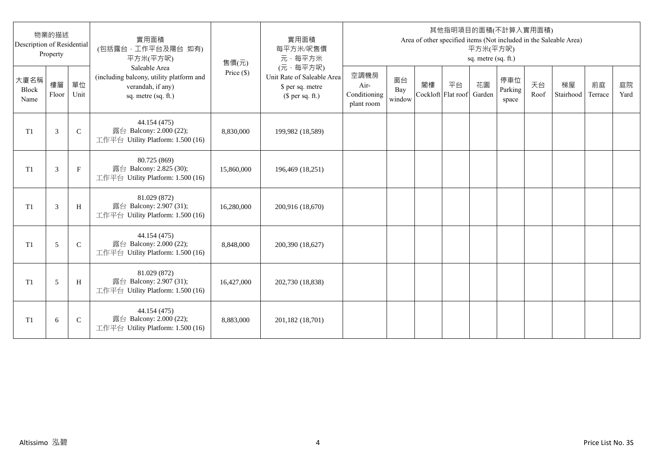| Description of Residential | 物業的描述<br>Property |              | 實用面積<br>(包括露台,工作平台及陽台 如有)<br>平方米(平方呎)                                                                 | 售價(元)      | 實用面積<br>每平方米/呎售價<br>元·每平方米                                                     |                                            |                     |                          |    | 平方米(平方呎)<br>sq. metre (sq. ft.) | 其他指明項目的面積(不計算入實用面積)     |            | Area of other specified items (Not included in the Saleable Area) |               |            |
|----------------------------|-------------------|--------------|-------------------------------------------------------------------------------------------------------|------------|--------------------------------------------------------------------------------|--------------------------------------------|---------------------|--------------------------|----|---------------------------------|-------------------------|------------|-------------------------------------------------------------------|---------------|------------|
| 大廈名稱<br>Block<br>Name      | 樓層<br>Floor       | 單位<br>Unit   | Saleable Area<br>(including balcony, utility platform and<br>verandah, if any)<br>sq. metre (sq. ft.) | Price (\$) | (元·每平方呎)<br>Unit Rate of Saleable Area<br>\$ per sq. metre<br>$$$ per sq. ft.) | 空調機房<br>Air-<br>Conditioning<br>plant room | 窗台<br>Bay<br>window | 閣樓<br>Cockloft Flat roof | 平台 | 花園<br>Garden                    | 停車位<br>Parking<br>space | 天台<br>Roof | 梯屋<br>Stairhood                                                   | 前庭<br>Terrace | 庭院<br>Yard |
| T <sub>1</sub>             | 3                 | $\mathsf{C}$ | 44.154 (475)<br>露台 Balcony: 2.000 (22);<br>工作平台 Utility Platform: 1.500 (16)                          | 8,830,000  | 199,982 (18,589)                                                               |                                            |                     |                          |    |                                 |                         |            |                                                                   |               |            |
| T <sub>1</sub>             | 3                 | $_{\rm F}$   | 80.725 (869)<br>露台 Balcony: 2.825 (30);<br>工作平台 Utility Platform: 1.500 (16)                          | 15,860,000 | 196,469 (18,251)                                                               |                                            |                     |                          |    |                                 |                         |            |                                                                   |               |            |
| T1                         | 3                 | H            | 81.029 (872)<br>露台 Balcony: 2.907 (31);<br>工作平台 Utility Platform: 1.500 (16)                          | 16,280,000 | 200,916 (18,670)                                                               |                                            |                     |                          |    |                                 |                         |            |                                                                   |               |            |
| T1                         | 5                 | $\mathsf{C}$ | 44.154 (475)<br>露台 Balcony: 2.000 (22);<br>工作平台 Utility Platform: 1.500 (16)                          | 8,848,000  | 200,390 (18,627)                                                               |                                            |                     |                          |    |                                 |                         |            |                                                                   |               |            |
| T1                         | 5                 | H            | 81.029 (872)<br>露台 Balcony: 2.907 (31);<br>工作平台 Utility Platform: 1.500 (16)                          | 16,427,000 | 202,730 (18,838)                                                               |                                            |                     |                          |    |                                 |                         |            |                                                                   |               |            |
| T <sub>1</sub>             | 6                 | $\mathsf{C}$ | 44.154 (475)<br>露台 Balcony: 2.000 (22);<br>工作平台 Utility Platform: 1.500 (16)                          | 8,883,000  | 201,182 (18,701)                                                               |                                            |                     |                          |    |                                 |                         |            |                                                                   |               |            |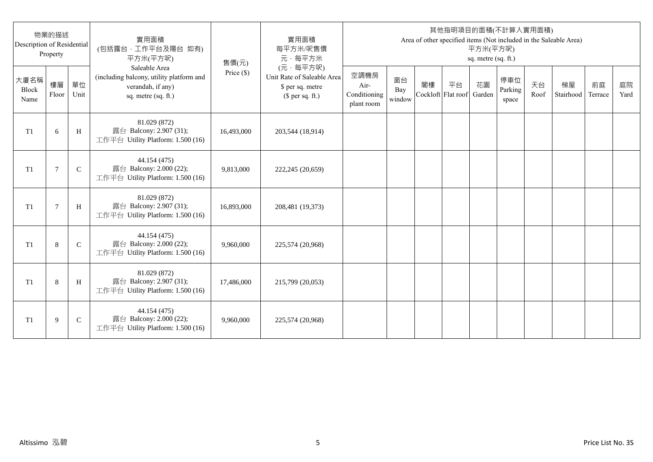| Description of Residential | 物業的描述<br>Property |              | 實用面積<br>(包括露台,工作平台及陽台 如有)<br>平方米(平方呎)                                                                 | 售價(元)      | 實用面積<br>每平方米/呎售價<br>元·每平方米                                                     |                                            |                     |                          |    | 平方米(平方呎)<br>sq. metre (sq. ft.) | 其他指明項目的面積(不計算入實用面積)     |            | Area of other specified items (Not included in the Saleable Area) |               |            |
|----------------------------|-------------------|--------------|-------------------------------------------------------------------------------------------------------|------------|--------------------------------------------------------------------------------|--------------------------------------------|---------------------|--------------------------|----|---------------------------------|-------------------------|------------|-------------------------------------------------------------------|---------------|------------|
| 大廈名稱<br>Block<br>Name      | 樓層<br>Floor       | 單位<br>Unit   | Saleable Area<br>(including balcony, utility platform and<br>verandah, if any)<br>sq. metre (sq. ft.) | Price (\$) | (元·每平方呎)<br>Unit Rate of Saleable Area<br>\$ per sq. metre<br>$$$ per sq. ft.) | 空調機房<br>Air-<br>Conditioning<br>plant room | 窗台<br>Bay<br>window | 閣樓<br>Cockloft Flat roof | 平台 | 花園<br>Garden                    | 停車位<br>Parking<br>space | 天台<br>Roof | 梯屋<br>Stairhood                                                   | 前庭<br>Terrace | 庭院<br>Yard |
| T <sub>1</sub>             | 6                 | H            | 81.029 (872)<br>露台 Balcony: 2.907 (31);<br>工作平台 Utility Platform: 1.500 (16)                          | 16,493,000 | 203,544 (18,914)                                                               |                                            |                     |                          |    |                                 |                         |            |                                                                   |               |            |
| T <sub>1</sub>             | 7                 | $\mathsf{C}$ | 44.154 (475)<br>露台 Balcony: 2.000 (22);<br>工作平台 Utility Platform: 1.500 (16)                          | 9,813,000  | 222,245 (20,659)                                                               |                                            |                     |                          |    |                                 |                         |            |                                                                   |               |            |
| T1                         | $\overline{7}$    | H            | 81.029 (872)<br>露台 Balcony: 2.907 (31);<br>工作平台 Utility Platform: 1.500 (16)                          | 16,893,000 | 208,481 (19,373)                                                               |                                            |                     |                          |    |                                 |                         |            |                                                                   |               |            |
| T1                         | 8                 | $\mathsf{C}$ | 44.154 (475)<br>露台 Balcony: 2.000 (22);<br>工作平台 Utility Platform: 1.500 (16)                          | 9,960,000  | 225,574 (20,968)                                                               |                                            |                     |                          |    |                                 |                         |            |                                                                   |               |            |
| T1                         | 8                 | H            | 81.029 (872)<br>露台 Balcony: 2.907 (31);<br>工作平台 Utility Platform: 1.500 (16)                          | 17,486,000 | 215,799 (20,053)                                                               |                                            |                     |                          |    |                                 |                         |            |                                                                   |               |            |
| T <sub>1</sub>             | 9                 | $\mathsf{C}$ | 44.154 (475)<br>露台 Balcony: 2.000 (22);<br>工作平台 Utility Platform: 1.500 (16)                          | 9,960,000  | 225,574 (20,968)                                                               |                                            |                     |                          |    |                                 |                         |            |                                                                   |               |            |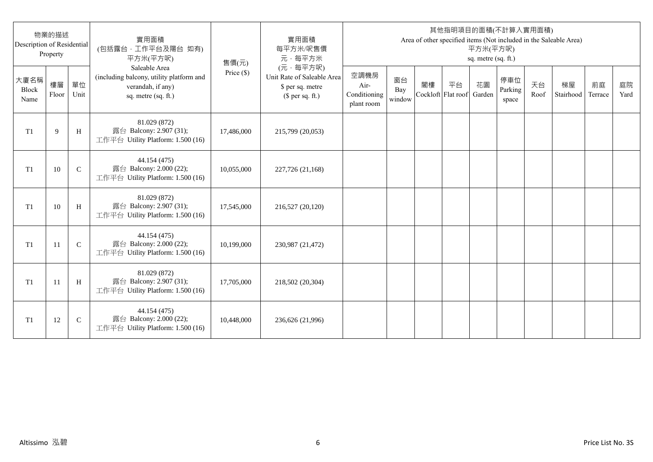| Description of Residential | 物業的描述<br>Property |              | 實用面積<br>(包括露台,工作平台及陽台 如有)<br>平方米(平方呎)                                                                 | 售價(元)      | 實用面積<br>每平方米/呎售價<br>元·每平方米                                                     |                                            |                     |                          |    | 平方米(平方呎)<br>sq. metre (sq. ft.) | 其他指明項目的面積(不計算入實用面積)     |            | Area of other specified items (Not included in the Saleable Area) |               |            |
|----------------------------|-------------------|--------------|-------------------------------------------------------------------------------------------------------|------------|--------------------------------------------------------------------------------|--------------------------------------------|---------------------|--------------------------|----|---------------------------------|-------------------------|------------|-------------------------------------------------------------------|---------------|------------|
| 大廈名稱<br>Block<br>Name      | 樓層<br>Floor       | 單位<br>Unit   | Saleable Area<br>(including balcony, utility platform and<br>verandah, if any)<br>sq. metre (sq. ft.) | Price (\$) | (元·每平方呎)<br>Unit Rate of Saleable Area<br>\$ per sq. metre<br>$$$ per sq. ft.) | 空調機房<br>Air-<br>Conditioning<br>plant room | 窗台<br>Bay<br>window | 閣樓<br>Cockloft Flat roof | 平台 | 花園<br>Garden                    | 停車位<br>Parking<br>space | 天台<br>Roof | 梯屋<br>Stairhood                                                   | 前庭<br>Terrace | 庭院<br>Yard |
| T <sub>1</sub>             | 9                 | H            | 81.029 (872)<br>露台 Balcony: 2.907 (31);<br>工作平台 Utility Platform: 1.500 (16)                          | 17,486,000 | 215,799 (20,053)                                                               |                                            |                     |                          |    |                                 |                         |            |                                                                   |               |            |
| T <sub>1</sub>             | 10                | $\mathsf{C}$ | 44.154 (475)<br>露台 Balcony: 2.000 (22);<br>工作平台 Utility Platform: 1.500 (16)                          | 10,055,000 | 227,726 (21,168)                                                               |                                            |                     |                          |    |                                 |                         |            |                                                                   |               |            |
| T1                         | 10                | H            | 81.029 (872)<br>露台 Balcony: 2.907 (31);<br>工作平台 Utility Platform: 1.500 (16)                          | 17,545,000 | 216,527 (20,120)                                                               |                                            |                     |                          |    |                                 |                         |            |                                                                   |               |            |
| T1                         | 11                | $\mathbf C$  | 44.154 (475)<br>露台 Balcony: 2.000 (22);<br>工作平台 Utility Platform: 1.500 (16)                          | 10,199,000 | 230,987 (21,472)                                                               |                                            |                     |                          |    |                                 |                         |            |                                                                   |               |            |
| T1                         | -11               | H            | 81.029 (872)<br>露台 Balcony: 2.907 (31);<br>工作平台 Utility Platform: 1.500 (16)                          | 17,705,000 | 218,502 (20,304)                                                               |                                            |                     |                          |    |                                 |                         |            |                                                                   |               |            |
| T <sub>1</sub>             | 12                | $\mathsf{C}$ | 44.154 (475)<br>露台 Balcony: 2.000 (22);<br>工作平台 Utility Platform: 1.500 (16)                          | 10,448,000 | 236,626 (21,996)                                                               |                                            |                     |                          |    |                                 |                         |            |                                                                   |               |            |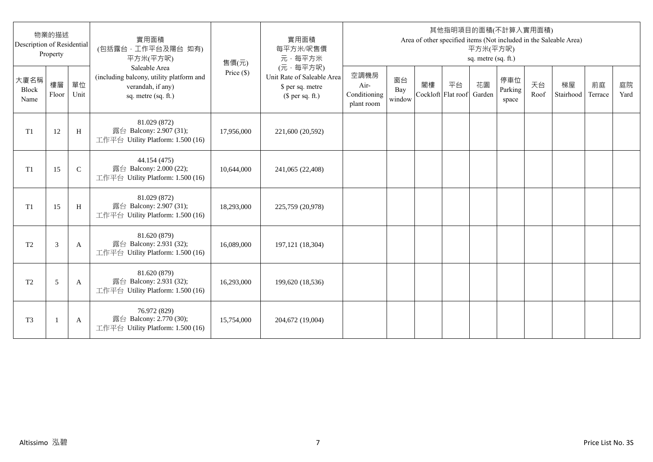| Description of Residential | 物業的描述<br>Property |               | 實用面積<br>(包括露台,工作平台及陽台 如有)<br>平方米(平方呎)                                                                 | 售價(元)      | 實用面積<br>每平方米/呎售價<br>元·每平方米                                                     |                                            |                     |    |                          | 平方米(平方呎)<br>sq. metre (sq. ft.) | 其他指明項目的面積(不計算入實用面積)     |            | Area of other specified items (Not included in the Saleable Area) |               |            |
|----------------------------|-------------------|---------------|-------------------------------------------------------------------------------------------------------|------------|--------------------------------------------------------------------------------|--------------------------------------------|---------------------|----|--------------------------|---------------------------------|-------------------------|------------|-------------------------------------------------------------------|---------------|------------|
| 大廈名稱<br>Block<br>Name      | 樓層<br>Floor       | 單位<br>Unit    | Saleable Area<br>(including balcony, utility platform and<br>verandah, if any)<br>sq. metre (sq. ft.) | Price (\$) | (元·每平方呎)<br>Unit Rate of Saleable Area<br>\$ per sq. metre<br>$$$ per sq. ft.) | 空調機房<br>Air-<br>Conditioning<br>plant room | 窗台<br>Bay<br>window | 閣樓 | 平台<br>Cockloft Flat roof | 花園<br>Garden                    | 停車位<br>Parking<br>space | 天台<br>Roof | 梯屋<br>Stairhood                                                   | 前庭<br>Terrace | 庭院<br>Yard |
| T1                         | 12                | H             | 81.029 (872)<br>露台 Balcony: 2.907 (31);<br>工作平台 Utility Platform: 1.500 (16)                          | 17,956,000 | 221,600 (20,592)                                                               |                                            |                     |    |                          |                                 |                         |            |                                                                   |               |            |
| T1                         | 15                | $\mathcal{C}$ | 44.154 (475)<br>露台 Balcony: 2.000 (22);<br>工作平台 Utility Platform: 1.500 (16)                          | 10,644,000 | 241,065 (22,408)                                                               |                                            |                     |    |                          |                                 |                         |            |                                                                   |               |            |
| T1                         | 15                | H             | 81.029 (872)<br>露台 Balcony: 2.907 (31);<br>工作平台 Utility Platform: 1.500 (16)                          | 18,293,000 | 225,759 (20,978)                                                               |                                            |                     |    |                          |                                 |                         |            |                                                                   |               |            |
| T <sub>2</sub>             | 3                 | A             | 81.620 (879)<br>露台 Balcony: 2.931 (32);<br>工作平台 Utility Platform: 1.500 (16)                          | 16,089,000 | 197, 121 (18, 304)                                                             |                                            |                     |    |                          |                                 |                         |            |                                                                   |               |            |
| T <sub>2</sub>             | 5                 | A             | 81.620 (879)<br>露台 Balcony: 2.931 (32);<br>工作平台 Utility Platform: 1.500 (16)                          | 16,293,000 | 199,620 (18,536)                                                               |                                            |                     |    |                          |                                 |                         |            |                                                                   |               |            |
| T <sub>3</sub>             |                   | A             | 76.972 (829)<br>露台 Balcony: 2.770 (30);<br>工作平台 Utility Platform: 1.500 (16)                          | 15,754,000 | 204,672 (19,004)                                                               |                                            |                     |    |                          |                                 |                         |            |                                                                   |               |            |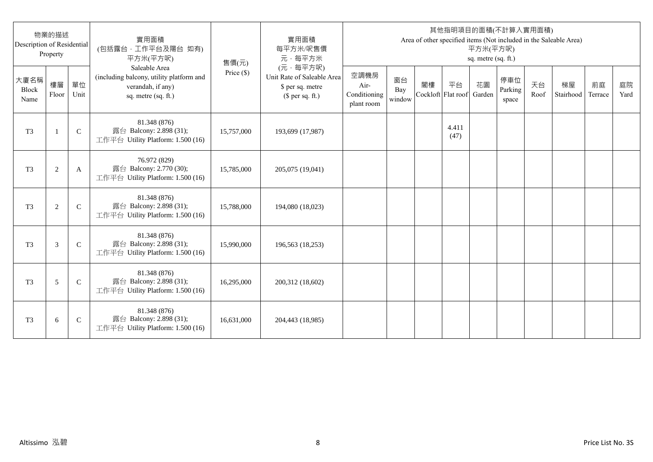| Description of Residential | 物業的描述<br>Property |              | 實用面積<br>(包括露台,工作平台及陽台 如有)<br>平方米(平方呎)                                                                 | 售價(元)      | 實用面積<br>每平方米/呎售價<br>元·每平方米                                                     |                                            |                     |                          |               | 平方米(平方呎)<br>sq. metre (sq. ft.) | 其他指明項目的面積(不計算入實用面積)     |            | Area of other specified items (Not included in the Saleable Area) |               |            |
|----------------------------|-------------------|--------------|-------------------------------------------------------------------------------------------------------|------------|--------------------------------------------------------------------------------|--------------------------------------------|---------------------|--------------------------|---------------|---------------------------------|-------------------------|------------|-------------------------------------------------------------------|---------------|------------|
| 大廈名稱<br>Block<br>Name      | 樓層<br>Floor       | 單位<br>Unit   | Saleable Area<br>(including balcony, utility platform and<br>verandah, if any)<br>sq. metre (sq. ft.) | Price (\$) | (元·每平方呎)<br>Unit Rate of Saleable Area<br>\$ per sq. metre<br>$$$ per sq. ft.) | 空調機房<br>Air-<br>Conditioning<br>plant room | 窗台<br>Bay<br>window | 閣樓<br>Cockloft Flat roof | 平台            | 花園<br>Garden                    | 停車位<br>Parking<br>space | 天台<br>Roof | 梯屋<br>Stairhood                                                   | 前庭<br>Terrace | 庭院<br>Yard |
| T <sub>3</sub>             | $\mathbf{1}$      | $\mathsf{C}$ | 81.348 (876)<br>露台 Balcony: 2.898 (31);<br>工作平台 Utility Platform: 1.500 (16)                          | 15,757,000 | 193,699 (17,987)                                                               |                                            |                     |                          | 4.411<br>(47) |                                 |                         |            |                                                                   |               |            |
| T <sub>3</sub>             | $\overline{c}$    | A            | 76.972 (829)<br>露台 Balcony: 2.770 (30);<br>工作平台 Utility Platform: 1.500 (16)                          | 15,785,000 | 205,075 (19,041)                                                               |                                            |                     |                          |               |                                 |                         |            |                                                                   |               |            |
| T <sub>3</sub>             | $\overline{c}$    | $\mathsf{C}$ | 81.348 (876)<br>露台 Balcony: 2.898 (31);<br>工作平台 Utility Platform: 1.500 (16)                          | 15,788,000 | 194,080 (18,023)                                                               |                                            |                     |                          |               |                                 |                         |            |                                                                   |               |            |
| T <sub>3</sub>             | 3                 | $\mathsf{C}$ | 81.348 (876)<br>露台 Balcony: 2.898 (31);<br>工作平台 Utility Platform: 1.500 (16)                          | 15,990,000 | 196,563 (18,253)                                                               |                                            |                     |                          |               |                                 |                         |            |                                                                   |               |            |
| T <sub>3</sub>             | 5                 | $\mathsf{C}$ | 81.348 (876)<br>露台 Balcony: 2.898 (31);<br>工作平台 Utility Platform: 1.500 (16)                          | 16,295,000 | 200,312 (18,602)                                                               |                                            |                     |                          |               |                                 |                         |            |                                                                   |               |            |
| T <sub>3</sub>             | 6                 | $\mathsf{C}$ | 81.348 (876)<br>露台 Balcony: 2.898 (31);<br>工作平台 Utility Platform: 1.500 (16)                          | 16,631,000 | 204,443 (18,985)                                                               |                                            |                     |                          |               |                                 |                         |            |                                                                   |               |            |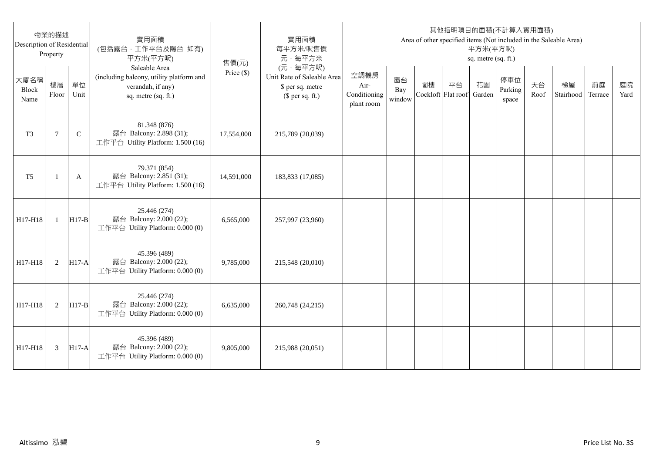| Description of Residential | 物業的描述<br>Property |              | 實用面積<br>(包括露台,工作平台及陽台 如有)<br>平方米(平方呎)                                                                 | 售價(元)        | 實用面積<br>每平方米/呎售價<br>元·每平方米                                                     |                                            |                     |                          |    | 平方米(平方呎)<br>sq. metre (sq. ft.) | 其他指明項目的面積(不計算入實用面積)     |            | Area of other specified items (Not included in the Saleable Area) |               |            |
|----------------------------|-------------------|--------------|-------------------------------------------------------------------------------------------------------|--------------|--------------------------------------------------------------------------------|--------------------------------------------|---------------------|--------------------------|----|---------------------------------|-------------------------|------------|-------------------------------------------------------------------|---------------|------------|
| 大廈名稱<br>Block<br>Name      | 樓層<br>Floor       | 單位<br>Unit   | Saleable Area<br>(including balcony, utility platform and<br>verandah, if any)<br>sq. metre (sq. ft.) | Price $(\$)$ | (元·每平方呎)<br>Unit Rate of Saleable Area<br>\$ per sq. metre<br>$$$ per sq. ft.) | 空調機房<br>Air-<br>Conditioning<br>plant room | 窗台<br>Bay<br>window | 閣樓<br>Cockloft Flat roof | 平台 | 花園<br>Garden                    | 停車位<br>Parking<br>space | 天台<br>Roof | 梯屋<br>Stairhood                                                   | 前庭<br>Terrace | 庭院<br>Yard |
| T <sub>3</sub>             | $\overline{7}$    | $\mathsf{C}$ | 81.348 (876)<br>露台 Balcony: 2.898 (31);<br>工作平台 Utility Platform: 1.500 (16)                          | 17,554,000   | 215,789 (20,039)                                                               |                                            |                     |                          |    |                                 |                         |            |                                                                   |               |            |
| T <sub>5</sub>             | -1                | A            | 79.371 (854)<br>露台 Balcony: 2.851 (31);<br>工作平台 Utility Platform: 1.500 (16)                          | 14,591,000   | 183,833 (17,085)                                                               |                                            |                     |                          |    |                                 |                         |            |                                                                   |               |            |
| H17-H18                    | $\mathbf{1}$      | $H17-B$      | 25.446 (274)<br>露台 Balcony: 2.000 (22);<br>工作平台 Utility Platform: 0.000 (0)                           | 6,565,000    | 257,997 (23,960)                                                               |                                            |                     |                          |    |                                 |                         |            |                                                                   |               |            |
| H17-H18                    | 2                 | $H17-A$      | 45.396 (489)<br>露台 Balcony: 2.000 (22);<br>工作平台 Utility Platform: 0.000 (0)                           | 9,785,000    | 215,548 (20,010)                                                               |                                            |                     |                          |    |                                 |                         |            |                                                                   |               |            |
| H17-H18                    | 2                 | $H17-B$      | 25.446 (274)<br>露台 Balcony: 2.000 (22);<br>工作平台 Utility Platform: 0.000 (0)                           | 6,635,000    | 260,748 (24,215)                                                               |                                            |                     |                          |    |                                 |                         |            |                                                                   |               |            |
| H17-H18                    | 3                 | $H17-A$      | 45.396 (489)<br>露台 Balcony: 2.000 (22);<br>工作平台 Utility Platform: 0.000 (0)                           | 9,805,000    | 215,988 (20,051)                                                               |                                            |                     |                          |    |                                 |                         |            |                                                                   |               |            |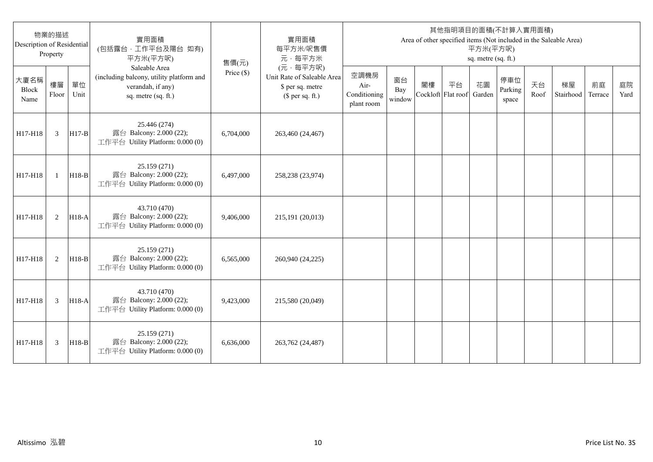| Description of Residential | 物業的描述<br>Property |            | 實用面積<br>(包括露台,工作平台及陽台 如有)<br>平方米(平方呎)                                                                 | 售價(元)        | 實用面積<br>每平方米/呎售價<br>元·每平方米                                                     |                                            |                     |                          |    | 平方米(平方呎)<br>sq. metre (sq. ft.) | 其他指明項目的面積(不計算入實用面積)     |            | Area of other specified items (Not included in the Saleable Area) |               |            |
|----------------------------|-------------------|------------|-------------------------------------------------------------------------------------------------------|--------------|--------------------------------------------------------------------------------|--------------------------------------------|---------------------|--------------------------|----|---------------------------------|-------------------------|------------|-------------------------------------------------------------------|---------------|------------|
| 大廈名稱<br>Block<br>Name      | 樓層<br>Floor       | 單位<br>Unit | Saleable Area<br>(including balcony, utility platform and<br>verandah, if any)<br>sq. metre (sq. ft.) | Price $(\$)$ | (元·每平方呎)<br>Unit Rate of Saleable Area<br>\$ per sq. metre<br>$$$ per sq. ft.) | 空調機房<br>Air-<br>Conditioning<br>plant room | 窗台<br>Bay<br>window | 閣樓<br>Cockloft Flat roof | 平台 | 花園<br>Garden                    | 停車位<br>Parking<br>space | 天台<br>Roof | 梯屋<br>Stairhood                                                   | 前庭<br>Terrace | 庭院<br>Yard |
| H17-H18                    | $\mathfrak{Z}$    | $H17-B$    | 25.446 (274)<br>露台 Balcony: 2.000 (22);<br>工作平台 Utility Platform: 0.000 (0)                           | 6,704,000    | 263,460 (24,467)                                                               |                                            |                     |                          |    |                                 |                         |            |                                                                   |               |            |
| H17-H18                    | $\mathbf{1}$      | $H18-B$    | 25.159 (271)<br>露台 Balcony: 2.000 (22);<br>工作平台 Utility Platform: 0.000 (0)                           | 6,497,000    | 258,238 (23,974)                                                               |                                            |                     |                          |    |                                 |                         |            |                                                                   |               |            |
| H17-H18                    | 2                 | H18-A      | 43.710 (470)<br>露台 Balcony: 2.000 (22);<br>工作平台 Utility Platform: 0.000 (0)                           | 9.406.000    | 215,191 (20,013)                                                               |                                            |                     |                          |    |                                 |                         |            |                                                                   |               |            |
| H17-H18                    | 2                 | $H18-B$    | 25.159 (271)<br>露台 Balcony: 2.000 (22);<br>工作平台 Utility Platform: 0.000 (0)                           | 6,565,000    | 260,940 (24,225)                                                               |                                            |                     |                          |    |                                 |                         |            |                                                                   |               |            |
| H17-H18                    | 3                 | $H18-A$    | 43.710 (470)<br>露台 Balcony: 2.000 (22);<br>工作平台 Utility Platform: 0.000 (0)                           | 9,423,000    | 215,580 (20,049)                                                               |                                            |                     |                          |    |                                 |                         |            |                                                                   |               |            |
| H17-H18                    | 3                 | $H18-B$    | 25.159 (271)<br>露台 Balcony: 2.000 (22);<br>工作平台 Utility Platform: 0.000 (0)                           | 6,636,000    | 263,762 (24,487)                                                               |                                            |                     |                          |    |                                 |                         |            |                                                                   |               |            |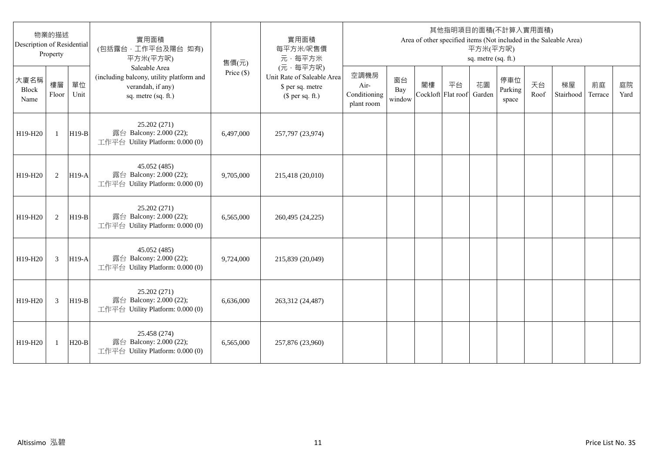| 物業的描述<br>Description of Residential<br>Property |              |            | 實用面積<br>(包括露台,工作平台及陽台 如有)<br>平方米(平方呎)                                                                 | 售價(元)      | 實用面積<br>每平方米/呎售價<br>元·每平方米                                                     | 其他指明項目的面積(不計算入實用面積)<br>Area of other specified items (Not included in the Saleable Area)<br>平方米(平方呎)<br>sq. metre (sq. ft.) |                     |                          |    |              |                         |            |                 |               |            |  |
|-------------------------------------------------|--------------|------------|-------------------------------------------------------------------------------------------------------|------------|--------------------------------------------------------------------------------|-----------------------------------------------------------------------------------------------------------------------------|---------------------|--------------------------|----|--------------|-------------------------|------------|-----------------|---------------|------------|--|
| 大廈名稱<br>Block<br>Name                           | 樓層<br>Floor  | 單位<br>Unit | Saleable Area<br>(including balcony, utility platform and<br>verandah, if any)<br>sq. metre (sq. ft.) | Price (\$) | (元·每平方呎)<br>Unit Rate of Saleable Area<br>\$ per sq. metre<br>$$$ per sq. ft.) | 空調機房<br>Air-<br>Conditioning<br>plant room                                                                                  | 窗台<br>Bay<br>window | 閣樓<br>Cockloft Flat roof | 平台 | 花園<br>Garden | 停車位<br>Parking<br>space | 天台<br>Roof | 梯屋<br>Stairhood | 前庭<br>Terrace | 庭院<br>Yard |  |
| H19-H20                                         | $\mathbf{1}$ | $H19-B$    | 25.202 (271)<br>露台 Balcony: 2.000 (22);<br>工作平台 Utility Platform: 0.000 (0)                           | 6,497,000  | 257,797 (23,974)                                                               |                                                                                                                             |                     |                          |    |              |                         |            |                 |               |            |  |
| H19-H20                                         | 2            | $H19-A$    | 45.052 (485)<br>露台 Balcony: 2.000 (22);<br>工作平台 Utility Platform: 0.000 (0)                           | 9,705,000  | 215,418 (20,010)                                                               |                                                                                                                             |                     |                          |    |              |                         |            |                 |               |            |  |
| H19-H20                                         | 2            | $H19-B$    | 25.202 (271)<br>露台 Balcony: 2.000 (22);<br>工作平台 Utility Platform: 0.000 (0)                           | 6,565,000  | 260,495 (24,225)                                                               |                                                                                                                             |                     |                          |    |              |                         |            |                 |               |            |  |
| H19-H20                                         | 3            | $H19-A$    | 45.052 (485)<br>露台 Balcony: 2.000 (22);<br>工作平台 Utility Platform: 0.000 (0)                           | 9,724,000  | 215,839 (20,049)                                                               |                                                                                                                             |                     |                          |    |              |                         |            |                 |               |            |  |
| H19-H20                                         | 3            | $H19-B$    | 25.202 (271)<br>露台 Balcony: 2.000 (22);<br>工作平台 Utility Platform: 0.000 (0)                           | 6,636,000  | 263,312 (24,487)                                                               |                                                                                                                             |                     |                          |    |              |                         |            |                 |               |            |  |
| H19-H20                                         | 1            | $H20-B$    | 25.458 (274)<br>露台 Balcony: 2.000 (22);<br>工作平台 Utility Platform: 0.000 (0)                           | 6,565,000  | 257,876 (23,960)                                                               |                                                                                                                             |                     |                          |    |              |                         |            |                 |               |            |  |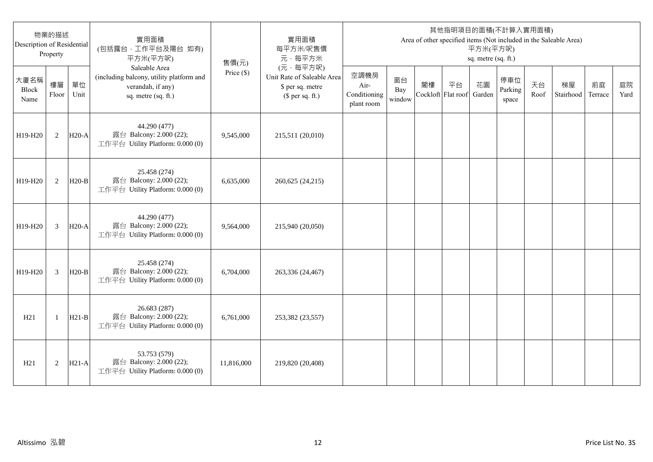| 物業的描述<br>Description of Residential<br>Property |                |            | 實用面積<br>(包括露台,工作平台及陽台 如有)<br>平方米(平方呎)                                                                 | 售價(元)        | 實用面積<br>每平方米/呎售價<br>元·每平方米                                                     | 其他指明項目的面積(不計算入實用面積)<br>Area of other specified items (Not included in the Saleable Area)<br>平方米(平方呎)<br>sq. metre (sq. ft.) |                     |                          |    |              |                         |            |                 |               |            |  |
|-------------------------------------------------|----------------|------------|-------------------------------------------------------------------------------------------------------|--------------|--------------------------------------------------------------------------------|-----------------------------------------------------------------------------------------------------------------------------|---------------------|--------------------------|----|--------------|-------------------------|------------|-----------------|---------------|------------|--|
| 大廈名稱<br>Block<br>Name                           | 樓層<br>Floor    | 單位<br>Unit | Saleable Area<br>(including balcony, utility platform and<br>verandah, if any)<br>sq. metre (sq. ft.) | Price $(\$)$ | (元·每平方呎)<br>Unit Rate of Saleable Area<br>\$ per sq. metre<br>$$$ per sq. ft.) | 空調機房<br>Air-<br>Conditioning<br>plant room                                                                                  | 窗台<br>Bay<br>window | 閣樓<br>Cockloft Flat roof | 平台 | 花園<br>Garden | 停車位<br>Parking<br>space | 天台<br>Roof | 梯屋<br>Stairhood | 前庭<br>Terrace | 庭院<br>Yard |  |
| H19-H20                                         | 2              | $H20-A$    | 44.290 (477)<br>露台 Balcony: 2.000 (22);<br>工作平台 Utility Platform: 0.000 (0)                           | 9,545,000    | 215,511 (20,010)                                                               |                                                                                                                             |                     |                          |    |              |                         |            |                 |               |            |  |
| H19-H20                                         | 2              | $H20-B$    | 25.458 (274)<br>露台 Balcony: 2.000 (22);<br>工作平台 Utility Platform: 0.000 (0)                           | 6,635,000    | 260,625 (24,215)                                                               |                                                                                                                             |                     |                          |    |              |                         |            |                 |               |            |  |
| H19-H20                                         | 3              | $H20-A$    | 44.290 (477)<br>露台 Balcony: 2.000 (22);<br>工作平台 Utility Platform: 0.000 (0)                           | 9,564,000    | 215,940 (20,050)                                                               |                                                                                                                             |                     |                          |    |              |                         |            |                 |               |            |  |
| H19-H20                                         | $\overline{3}$ | $H20-B$    | 25.458 (274)<br>露台 Balcony: 2.000 (22);<br>工作平台 Utility Platform: 0.000 (0)                           | 6,704,000    | 263,336 (24,467)                                                               |                                                                                                                             |                     |                          |    |              |                         |            |                 |               |            |  |
| H21                                             | -1             | $H21-B$    | 26.683 (287)<br>露台 Balcony: 2.000 (22);<br>工作平台 Utility Platform: 0.000 (0)                           | 6,761,000    | 253,382 (23,557)                                                               |                                                                                                                             |                     |                          |    |              |                         |            |                 |               |            |  |
| H21                                             | $\overline{2}$ | $H21-A$    | 53.753 (579)<br>露台 Balcony: 2.000 (22);<br>工作平台 Utility Platform: 0.000 (0)                           | 11,816,000   | 219,820 (20,408)                                                               |                                                                                                                             |                     |                          |    |              |                         |            |                 |               |            |  |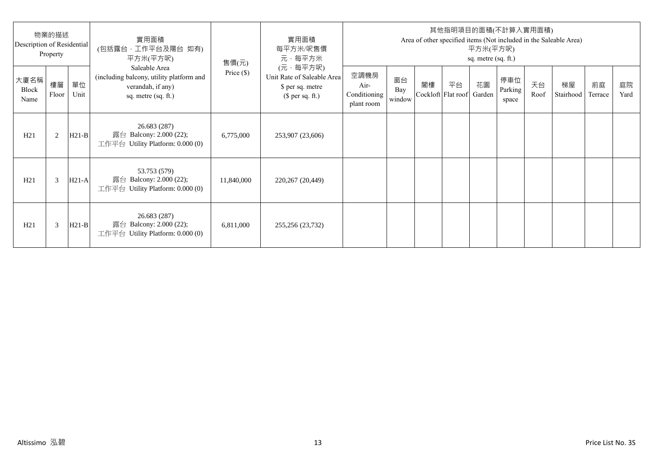| 物業的描述<br>Description of Residential<br>Property |             |            | 實用面積<br>(包括露台·工作平台及陽台 如有)<br>平方米(平方呎)                                                                 | 售價(元)        | 實用面積<br>每平方米/呎售價<br>元·每平方米                                                     | 其他指明項目的面積(不計算入實用面積)<br>Area of other specified items (Not included in the Saleable Area)<br>平方米(平方呎)<br>sq. metre (sq. ft.) |                     |    |                                 |    |                         |            |                 |               |            |
|-------------------------------------------------|-------------|------------|-------------------------------------------------------------------------------------------------------|--------------|--------------------------------------------------------------------------------|-----------------------------------------------------------------------------------------------------------------------------|---------------------|----|---------------------------------|----|-------------------------|------------|-----------------|---------------|------------|
| 大廈名稱<br>Block<br>Name                           | 樓層<br>Floor | 單位<br>Unit | Saleable Area<br>(including balcony, utility platform and<br>verandah, if any)<br>sq. metre (sq. ft.) | Price $(\$)$ | (元·每平方呎)<br>Unit Rate of Saleable Area<br>\$ per sq. metre<br>$$$ per sq. ft.) | 空調機房<br>Air-<br>Conditioning<br>plant room                                                                                  | 窗台<br>Bay<br>window | 閣樓 | 平台<br>Cockloft Flat roof Garden | 花園 | 停車位<br>Parking<br>space | 天台<br>Roof | 梯屋<br>Stairhood | 前庭<br>Terrace | 庭院<br>Yard |
| H21                                             | 2           | $H21-B$    | 26.683 (287)<br>露台 Balcony: 2.000 (22);<br>工作平台 Utility Platform: $0.000(0)$                          | 6,775,000    | 253,907 (23,606)                                                               |                                                                                                                             |                     |    |                                 |    |                         |            |                 |               |            |
| H21                                             | 3           | $H21-A$    | 53.753 (579)<br>露台 Balcony: 2.000 (22);<br>工作平台 Utility Platform: $0.000(0)$                          | 11,840,000   | 220,267 (20,449)                                                               |                                                                                                                             |                     |    |                                 |    |                         |            |                 |               |            |
| H21                                             | 3           | $H21-B$    | 26.683 (287)<br>露台 Balcony: 2.000 (22);<br>工作平台 Utility Platform: $0.000(0)$                          | 6,811,000    | 255,256 (23,732)                                                               |                                                                                                                             |                     |    |                                 |    |                         |            |                 |               |            |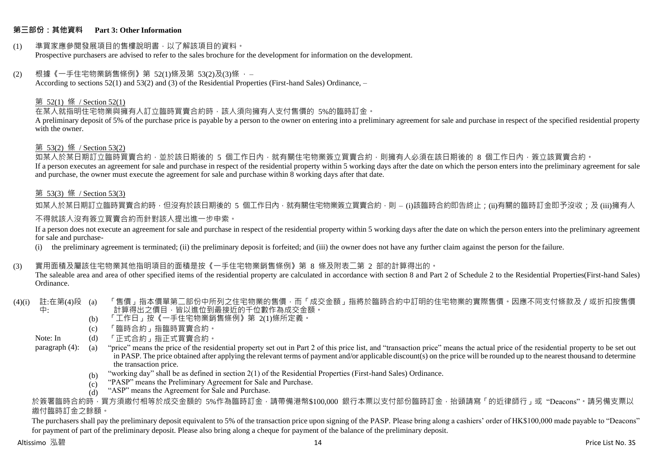## **第三部份:其他資料 Part 3: Other Information**

#### (1) 準買家應參閱發展項目的售樓說明書,以了解該項目的資料。 Prospective purchasers are advised to refer to the sales brochure for the development for information on the development.

#### $(2)$  根據《一手住宅物業銷售條例》第 52(1)條及第 53(2)及(3)條,

According to sections 52(1) and 53(2) and (3) of the Residential Properties (First-hand Sales) Ordinance, –

#### 第 52(1) 條 / Section 52(1)

在某人就指明住宅物業與擁有人訂立臨時買賣合約時,該人須向擁有人支付售價的 5%的臨時訂金。

A preliminary deposit of 5% of the purchase price is payable by a person to the owner on entering into a preliminary agreement for sale and purchase in respect of the specified residential property with the owner.

#### 第 53(2) 條 / Section 53(2)

如某人於某日期訂立臨時買賣合約,並於該日期後的 5 個工作日內,就有關住宅物業簽立買賣合約,則擁有人必須在該日期後的 8 個工作日內,簽立該買賣合約。 If a person executes an agreement for sale and purchase in respect of the residential property within 5 working days after the date on which the person enters into the preliminary agreement for sale and purchase, the owner must execute the agreement for sale and purchase within 8 working days after that date.

## 第 53(3) 條 / Section 53(3)

如某人於某日期訂立臨時買賣合約時,但沒有於該日期後的 5 個工作日內,就有關住宅物業簽立買賣合約,則 – (i)該臨時合約即告終止;(ji)有關的臨時訂金即予沒收;及 (iii)擁有人

## 不得就該人沒有簽立買賣合約而針對該人提出進一步申索。

If a person does not execute an agreement for sale and purchase in respect of the residential property within 5 working days after the date on which the person enters into the preliminary agreement for sale and purchase-

(i) the preliminary agreement is terminated; (ii) the preliminary deposit is forfeited; and (iii) the owner does not have any further claim against the person for the failure.

## (3) 實用面積及屬該住宅物業其他指明項目的面積是按《一手住宅物業銷售條例》第 8 條及附表二第 2 部的計算得出的。

The saleable area and area of other specified items of the residential property are calculated in accordance with section 8 and Part 2 of Schedule 2 to the Residential Properties(First-hand Sales) Ordinance.

#### (4)(i) 註:在第(4)段 中: 「售價」指本價單第二部份中所列之住宅物業的售價,而「成交金額」指將於臨時合約中訂明的住宅物業的實際售價。因應不同支付條款及/或折扣按售價 計算得出之價目,皆以進位到最接近的千位數作為成交金額。

- (b) 「工作日」按《一手住宅物業銷售條例》第 2(1)條所定義。
- (c) 「臨時合約」指臨時買賣合約。
- Note: In (d) 「正式合約」指正式買賣合約。

paragraph (4): (a) "price" means the price of the residential property set out in Part 2 of this price list, and "transaction price" means the actual price of the residential property to be set out in PASP. The price obtained after applying the relevant terms of payment and/or applicable discount(s) on the price will be rounded up to the nearest thousand to determine the transaction price.

- (b) "working day" shall be as defined in section 2(1) of the Residential Properties (First-hand Sales) Ordinance.
- $(c)$ "PASP" means the Preliminary Agreement for Sale and Purchase.
- $(d)$ "ASP" means the Agreement for Sale and Purchase.

於簽署臨時合約時,買方須繳付相等於成交金額的 5%作為臨時訂金,請帶備港幣\$100,000 銀行本票以支付部份臨時訂金,抬頭請寫「的近律師行」或"Deacons"。請另備支票以 繳付臨時訂金之餘額。

The purchasers shall pay the preliminary deposit equivalent to 5% of the transaction price upon signing of the PASP. Please bring along a cashiers' order of HK\$100,000 made payable to "Deacons" for payment of part of the preliminary deposit. Please also bring along a cheque for payment of the balance of the preliminary deposit.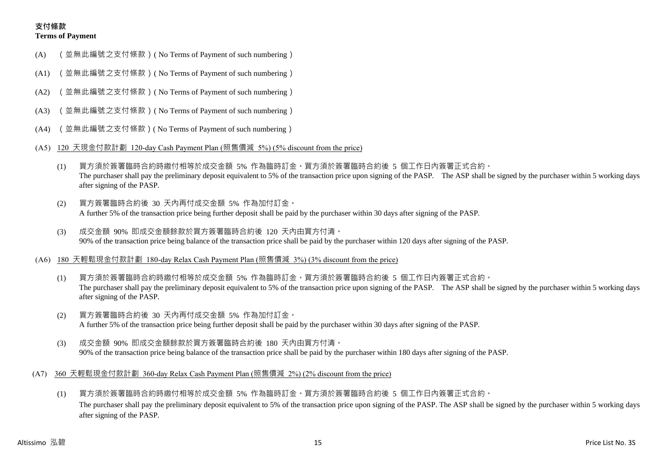# **支付條款 Terms of Payment**

- (A) (並無此編號之支付條款)( No Terms of Payment of such numbering)
- (A1) (並無此編號之支付條款)( No Terms of Payment of such numbering)
- (A2) (並無此編號之支付條款)( No Terms of Payment of such numbering)
- (A3) (並無此編號之支付條款)( No Terms of Payment of such numbering)
- (A4) (並無此編號之支付條款)( No Terms of Payment of such numbering)
- (A5) 120 天現金付款計劃 120-day Cash Payment Plan (照售價減 5%) (5% discount from the price)
	- (1) 買方須於簽署臨時合約時繳付相等於成交金額 5% 作為臨時訂金。買方須於簽署臨時合約後 5 個工作日內簽署正式合約。 The purchaser shall pay the preliminary deposit equivalent to 5% of the transaction price upon signing of the PASP. The ASP shall be signed by the purchaser within 5 working days after signing of the PASP.
	- (2) 買方簽署臨時合約後 30 天內再付成交金額 5% 作為加付訂金。 A further 5% of the transaction price being further deposit shall be paid by the purchaser within 30 days after signing of the PASP.
	- (3) 成交金額 90% 即成交金額餘款於買方簽署臨時合約後 120 天內由買方付清。 90% of the transaction price being balance of the transaction price shall be paid by the purchaser within 120 days after signing of the PASP.
- (A6) 180 天輕鬆現金付款計劃 180-day Relax Cash Payment Plan (照售價減 3%) (3% discount from the price)
	- (1) 買方須於簽署臨時合約時繳付相等於成交金額 5% 作為臨時訂金。買方須於簽署臨時合約後 5 個工作日內簽署正式合約。 The purchaser shall pay the preliminary deposit equivalent to 5% of the transaction price upon signing of the PASP. The ASP shall be signed by the purchaser within 5 working days after signing of the PASP.
	- (2) 買方簽署臨時合約後 30 天內再付成交金額 5% 作為加付訂金。 A further 5% of the transaction price being further deposit shall be paid by the purchaser within 30 days after signing of the PASP.
	- (3) 成交金額 90% 即成交金額餘款於買方簽署臨時合約後 180 天內由買方付清。 90% of the transaction price being balance of the transaction price shall be paid by the purchaser within 180 days after signing of the PASP.
- (A7) 360 天輕鬆現金付款計劃 360-day Relax Cash Payment Plan (照售價減 2%) (2% discount from the price)
	- (1) 買方須於簽署臨時合約時繳付相等於成交金額 5% 作為臨時訂金。買方須於簽署臨時合約後 5 個工作日內簽署正式合約。 The purchaser shall pay the preliminary deposit equivalent to 5% of the transaction price upon signing of the PASP. The ASP shall be signed by the purchaser within 5 working days after signing of the PASP.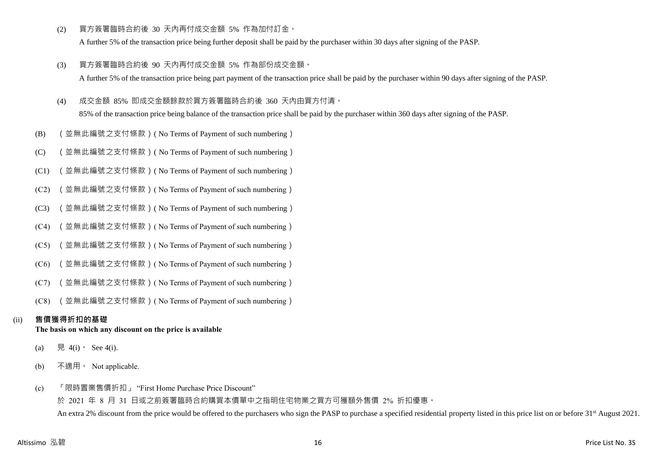(2) 買方簽署臨時合約後 30 天內再付成交金額 5% 作為加付訂金。

A further 5% of the transaction price being further deposit shall be paid by the purchaser within 30 days after signing of the PASP.

- (3) 買方簽署臨時合約後 90 天內再付成交金額 5% 作為部份成交金額。 A further 5% of the transaction price being part payment of the transaction price shall be paid by the purchaser within 90 days after signing of the PASP.
- (4) 成交金額 85% 即成交金額餘款於買方簽署臨時合約後 360 天內由買方付清。

85% of the transaction price being balance of the transaction price shall be paid by the purchaser within 360 days after signing of the PASP.

- (B) (並無此編號之支付條款)( No Terms of Payment of such numbering)
- (C) (並無此編號之支付條款)( No Terms of Payment of such numbering)
- (C1) (並無此編號之支付條款)( No Terms of Payment of such numbering)
- (C2) (並無此編號之支付條款)( No Terms of Payment of such numbering)
- (C3) (並無此編號之支付條款)( No Terms of Payment of such numbering)
- (C4) (並無此編號之支付條款)( No Terms of Payment of such numbering)
- (C5) (並無此編號之支付條款)( No Terms of Payment of such numbering)
- (C6) (並無此編號之支付條款)( No Terms of Payment of such numbering)
- (C7) (並無此編號之支付條款)( No Terms of Payment of such numbering)
- (C8) (並無此編號之支付條款)( No Terms of Payment of such numbering)

# (ii) **售價獲得折扣的基礎**

# **The basis on which any discount on the price is available**

- (a) 見 4(i) See 4(i).
- (b) 不適用。 Not applicable.
- (c) 「限時置業售價折扣」 "First Home Purchase Price Discount"

於 2021 年 8 月 31 日或之前簽署臨時合約購買本價單中之指明住宅物業之買方可獲額外售價 2% 折扣優惠。 An extra 2% discount from the price would be offered to the purchasers who sign the PASP to purchase a specified residential property listed in this price list on or before 31<sup>st</sup> August 2021.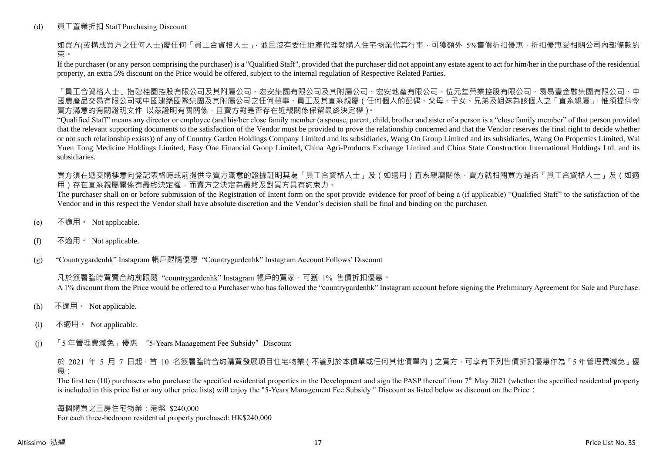# (d) 員工置業折扣 Staff Purchasing Discount

如買方(或構成買方之任何人士)屬任何「員工合資格人士」,並且沒有委任地產代理就購入住宅物業代其行事,可獲額外 5%售價折扣優惠,折扣優惠受相關公司內部條款約 束。

If the purchaser (or any person comprising the purchaser) is a "Qualified Staff", provided that the purchaser did not appoint any estate agent to act for him/her in the purchase of the residential property, an extra 5% discount on the Price would be offered, subject to the internal regulation of Respective Related Parties.

「員工合資格人士」指碧桂園控股有限公司及其附屬公司、宏安集團有限公司及其附屬公司、宏安地產有限公司、位元堂藥業控股有限公司、易易壹金融集團有限公司、中 國農產品交易有限公司或中國建築國際集團及其附屬公司之任何董事、員工及其直系親屬(任何個人的配偶、父母、子女、兄弟及姐妹為該個人之「直系親屬」,惟須提供令 賣方滿意的有關證明文件 以茲證明有關關係,且賣方對是否存在近親關係保留最終決定權)。

"Qualified Staff" means any director or employee (and his/her close family member (a spouse, parent, child, brother and sister of a person is a "close family member" of that person provided that the relevant supporting documents to the satisfaction of the Vendor must be provided to prove the relationship concerned and that the Vendor reserves the final right to decide whether or not such relationship exists)) of any of Country Garden Holdings Company Limited and its subsidiaries, Wang On Group Limited and its subsidiaries, Wang On Properties Limited, Wai Yuen Tong Medicine Holdings Limited, Easy One Financial Group Limited, China Agri-Products Exchange Limited and China State Construction International Holdings Ltd. and its subsidiaries.

買方須在遞交購樓意向登記表格時或前提供令賣方滿意的證據証明其為「員工合資格人士」及(如適用)直系親屬關係,賣方就相關買方是否「員工合資格人士」及(如適 用)存在直系親屬關係有最終決定權,而賣方之決定為最終及對買方具有約束力。

The purchaser shall on or before submission of the Registration of Intent form on the spot provide evidence for proof of being a (if applicable) "Qualified Staff" to the satisfaction of the Vendor and in this respect the Vendor shall have absolute discretion and the Vendor's decision shall be final and binding on the purchaser.

- (e) 不適用。 Not applicable.
- (f) 不適用。 Not applicable.

(g) "Countrygardenhk" Instagram 帳戶跟隨優惠 "Countrygardenhk" Instagram Account Follows' Discount

凡於簽署臨時買賣合約前跟隨 "countrygardenhk" Instagram 帳戶的買家,可獲 1% 售價折扣優惠。 A 1% discount from the Price would be offered to a Purchaser who has followed the "countrygardenhk" Instagram account before signing the Preliminary Agreement for Sale and Purchase.

- (h) 不適用。 Not applicable.
- (i) 不適用。 Not applicable.
- (j) 「5 年管理費減免」優惠 "5-Years Management Fee Subsidy"Discount

於 2021 年 5 月 7 日起,首 10 名簽署臨時合約購買發展項目住宅物業 ( 不論列於本價單或任何其他價單內 ) 之買方, 可享有下列售價折扣優惠作為 「5 年管理費減免」優 惠:

The first ten  $(10)$  purchasers who purchase the specified residential properties in the Development and sign the PASP thereof from  $7<sup>th</sup>$  May 2021 (whether the specified residential property is included in this price list or any other price lists) will enjoy the "5-Years Management Fee Subsidy " Discount as listed below as discount on the Price:

每個購買之三房住宅物業:港幣 \$240,000 For each three-bedroom residential property purchased: HK\$240,000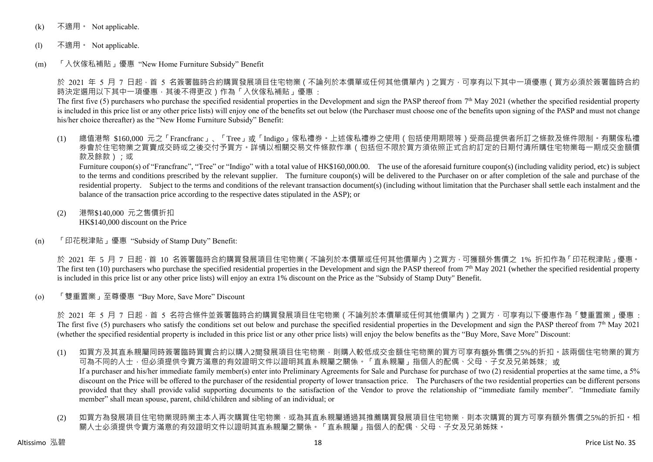- (k) 不適用 · Not applicable.
- (l) 不適用。 Not applicable.
- (m) 「入伙傢私補貼」優惠 "New Home Furniture Subsidy" Benefit

於 2021 年 5 月 7 日起 · 首 5 名簽署臨時合約購買發展項目住宅物業 ( 不論列於本價單或任何其他價單內 ) 之買方 · 可享有以下其中一項優惠 ( 買方必須於簽署臨時合約 時決定選用以下其中一項優惠,其後不得更改)作為「入伙傢私補貼」優惠:

The first five (5) purchasers who purchase the specified residential properties in the Development and sign the PASP thereof from  $7<sup>th</sup>$  May 2021 (whether the specified residential property is included in this price list or any other price lists) will enjoy one of the benefits set out below (the Purchaser must choose one of the benefits upon signing of the PASP and must not change his/her choice thereafter) as the "New Home Furniture Subsidy" Benefit:

(1) 總值港幣 \$160,000 元之「Francfranc」、「Tree」或「Indigo」傢私禮券。上述傢私禮券之使用(包括使用期限等)受商品提供者所訂之條款及條件限制。有關傢私禮 券會於住宅物業之買賣成交時或之後交付予買方。詳情以相關交易文件條款作準(包括但不限於買方須依照正式合約訂定的日期付清所購住宅物業每一期成交金額價 款及餘款);或

Furniture coupon(s) of "Francfranc", "Tree" or "Indigo" with a total value of HK\$160,000.00. The use of the aforesaid furniture coupon(s) (including validity period, etc) is subject to the terms and conditions prescribed by the relevant supplier. The furniture coupon(s) will be delivered to the Purchaser on or after completion of the sale and purchase of the residential property. Subject to the terms and conditions of the relevant transaction document(s) (including without limitation that the Purchaser shall settle each instalment and the balance of the transaction price according to the respective dates stipulated in the ASP); or

- (2) 港幣\$140,000 元之售價折扣 HK\$140,000 discount on the Price
- (n) 「印花稅津貼」優惠 "Subsidy of Stamp Duty" Benefit:

於 2021 年 5 月 7 日起,首 10 名簽署臨時合約購買發展項目住宅物業(不論列於本價單或任何其他價單內)之買方,可獲額外售價之 1% 折扣作為「印花稅津貼」優惠。 The first ten (10) purchasers who purchase the specified residential properties in the Development and sign the PASP thereof from  $7<sup>th</sup>$  May 2021 (whether the specified residential property is included in this price list or any other price lists) will enjoy an extra 1% discount on the Price as the "Subsidy of Stamp Duty" Benefit.

(o) 「雙重置業」至尊優惠 "Buy More, Save More" Discount

於 2021 年 5 月 7 日起,首 5 名符合條件並簽署臨時合約購買發展項目住宅物業 ( 不論列於本價單或任何其他價單內 ) 之買方,可享有以下優惠作為「雙重置業」優惠 : The first five (5) purchasers who satisfy the conditions set out below and purchase the specified residential properties in the Development and sign the PASP thereof from  $7<sup>th</sup>$  May 2021 (whether the specified residential property is included in this price list or any other price lists) will enjoy the below benefits as the "Buy More, Save More" Discount:

- (1) 如買方及其直系親屬同時簽署臨時買賣合約以購入2間發展項目住宅物業,則購入較低成交金額住宅物業的買方可享有額外售價之5%的折扣。該兩個住宅物業的買方 可為不同的人士,但必須提供令賣方滿意的有效證明文件以證明其直系親屬之關係。「直系親屬」指個人的配偶、父母、子女及兄弟姊妹;或 If a purchaser and his/her immediate family member(s) enter into Preliminary Agreements for Sale and Purchase for purchase of two (2) residential properties at the same time, a 5% discount on the Price will be offered to the purchaser of the residential property of lower transaction price. The Purchasers of the two residential properties can be different persons provided that they shall provide valid supporting documents to the satisfaction of the Vendor to prove the relationship of "immediate family member". "Immediate family member" shall mean spouse, parent, child/children and sibling of an individual; or
- (2) 如買方為發展項目住宅物業現時業主本人再次購買住宅物業,或為其直系親屬通過其推薦購買發展項目住宅物業,則本次購買的買方可享有額外售價之5%的折扣。相 關人士必須提供令賣方滿意的有效證明文件以證明其直系親屬之關係。「直系親屬」指個人的配偶、父母、子女及兄弟姊妹。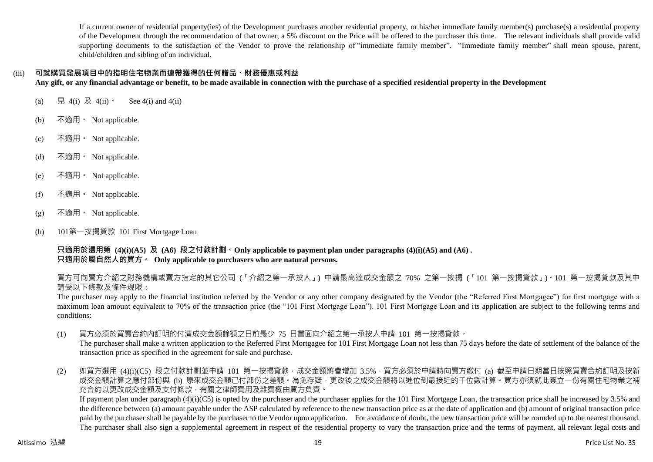If a current owner of residential property(ies) of the Development purchases another residential property, or his/her immediate family member(s) purchase(s) a residential property of the Development through the recommendation of that owner, a 5% discount on the Price will be offered to the purchaser this time. The relevant individuals shall provide valid supporting documents to the satisfaction of the Vendor to prove the relationship of "immediate family member". "Immediate family member" shall mean spouse, parent, child/children and sibling of an individual.

# (iii) **可就購買發展項目中的指明住宅物業而連帶獲得的任何贈品、財務優惠或利益**

**Any gift, or any financial advantage or benefit, to be made available in connection with the purchase of a specified residential property in the Development**

- (a) 見 4(i) 及 4(ii)。 See 4(i) and 4(ii)
- (b) 不適用。 Not applicable.
- (c) 不適用。 Not applicable.
- (d) 不適用。 Not applicable.
- (e)  $\bar{A}$ 適用 · Not applicable.
- (f) 不適用。 Not applicable.
- $(g)$  不適用 Not applicable.
- (h) 101第一按揭貸款 101 First Mortgage Loan

**只適用於選用第 (4)(i)(A5) 及 (A6) 段之付款計劃。Only applicable to payment plan under paragraphs (4)(i)(A5) and (A6) . 只適用於屬自然人的買方。 Only applicable to purchasers who are natural persons.**

買方可向賣方介紹之財務機構或賣方指定的其它公司 (「介紹之第一承按人」) 申請最高達成交金額之 70% 之第一按揭 (「101 第一按揭貸款」)。101 第一按揭貸款及其申 請受以下條款及條件規限:

The purchaser may apply to the financial institution referred by the Vendor or any other company designated by the Vendor (the "Referred First Mortgagee") for first mortgage with a maximum loan amount equivalent to 70% of the transaction price (the "101 First Mortgage Loan"). 101 First Mortgage Loan and its application are subject to the following terms and conditions:

(1) 買方必須於買賣合約內訂明的付清成交金額餘額之日前最少 75 日書面向介紹之第一承按人申請 101 第一按揭貸款。

The purchaser shall make a written application to the Referred First Mortgagee for 101 First Mortgage Loan not less than 75 days before the date of settlement of the balance of the transaction price as specified in the agreement for sale and purchase.

(2) 如買方選用 (4)(i)(C5) 段之付款計劃並申請 101 第一按揭貸款,成交金額將會增加 3.5%,買方必須於申請時向賣方繳付 (a) 截至申請日期當日按照買賣合約訂明及按新 成交金額計算之應付部份與 (b) 原來成交金額已付部份之差額。為免存疑,更改後之成交金額將以進位到最接近的千位數計算。買方亦須就此簽立一份有關住宅物業之補 充合約以更改成交金額及支付條款,有關之律師費用及雜費概由買方負責。

If payment plan under paragraph  $(4)(i)(C5)$  is opted by the purchaser and the purchaser applies for the 101 First Mortgage Loan, the transaction price shall be increased by 3.5% and the difference between (a) amount payable under the ASP calculated by reference to the new transaction price as at the date of application and (b) amount of original transaction price paid by the purchaser shall be payable by the purchaser to the Vendor upon application. For avoidance of doubt, the new transaction price will be rounded up to the nearest thousand. The purchaser shall also sign a supplemental agreement in respect of the residential property to vary the transaction price and the terms of payment, all relevant legal costs and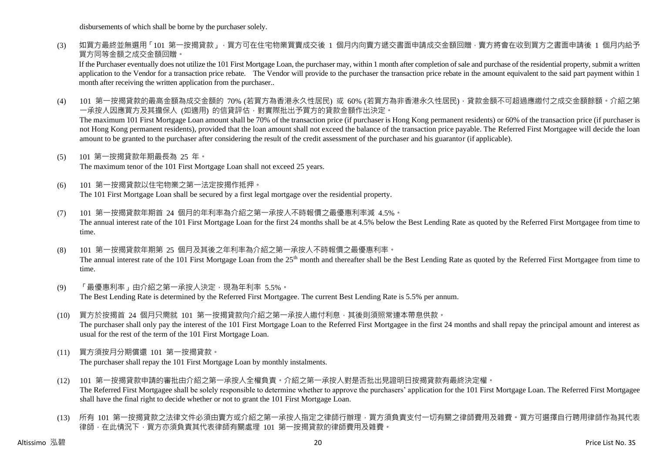disbursements of which shall be borne by the purchaser solely.

(3) 如買方最終並無選用「101 第一按揭貸款」,買方可在住宅物業買賣成交後 1 個月内向賣方遞交書面申請成交金額回贈,賣方將會在收到買方之書面申請後 1 個月内給予 買方同等金額之成交金額回贈。

If the Purchaser eventually does not utilize the 101 First Mortgage Loan, the purchaser may, within 1 month after completion of sale and purchase of the residential property, submit a written application to the Vendor for a transaction price rebate. The Vendor will provide to the purchaser the transaction price rebate in the amount equivalent to the said part payment within 1 month after receiving the written application from the purchaser..

(4) 101 第一按揭貸款的最高金額為成交金額的 70% (若買方為香港永久性居民) 或 60% (若買方為非香港永久性居民) · 貸款金額不可超過應繳付之成交金額餘額。介紹之第 一承按人因應買方及其擔保人 (如適用) 的信貸評估,對實際批出予買方的貸款金額作出決定。

The maximum 101 First Mortgage Loan amount shall be 70% of the transaction price (if purchaser is Hong Kong permanent residents) or 60% of the transaction price (if purchaser is not Hong Kong permanent residents), provided that the loan amount shall not exceed the balance of the transaction price payable. The Referred First Mortgagee will decide the loan amount to be granted to the purchaser after considering the result of the credit assessment of the purchaser and his guarantor (if applicable).

(5) 101 第一按揭貸款年期最長為 25 年。

The maximum tenor of the 101 First Mortgage Loan shall not exceed 25 years.

- (6) 101 第一按揭貸款以住宅物業之第一法定按揭作抵押。 The 101 First Mortgage Loan shall be secured by a first legal mortgage over the residential property.
- (7) 101 第一按揭貸款年期首 24 個月的年利率為介紹之第一承按人不時報價之最優惠利率減 4.5%。 The annual interest rate of the 101 First Mortgage Loan for the first 24 months shall be at 4.5% below the Best Lending Rate as quoted by the Referred First Mortgagee from time to time.
- (8) 101 第一按揭貸款年期第 25 個月及其後之年利率為介紹之第一承按人不時報價之最優惠利率。 The annual interest rate of the 101 First Mortgage Loan from the 25<sup>th</sup> month and thereafter shall be the Best Lending Rate as quoted by the Referred First Mortgagee from time to time.
- (9) 「最優惠利率」由介紹之第一承按人決定,現為年利率 5.5%。 The Best Lending Rate is determined by the Referred First Mortgagee. The current Best Lending Rate is 5.5% per annum.
- (10) 買方於按揭首 24 個月只需就 101 第一按揭貸款向介紹之第一承按人繳付利息,其後則須照常連本帶息供款。 The purchaser shall only pay the interest of the 101 First Mortgage Loan to the Referred First Mortgagee in the first 24 months and shall repay the principal amount and interest as usual for the rest of the term of the 101 First Mortgage Loan.
- (11) 買方須按月分期償還 101 第一按揭貸款。 The purchaser shall repay the 101 First Mortgage Loan by monthly instalments.
- (12) 101 第一按揭貸款申請的審批由介紹之第一承按人全權負責。介紹之第一承按人對是否批出見證明日按揭貸款有最終決定權。 The Referred First Mortgagee shall be solely responsible to determine whether to approve the purchasers' application for the 101 First Mortgage Loan. The Referred First Mortgagee shall have the final right to decide whether or not to grant the 101 First Mortgage Loan.
- (13) 所有 101 第一按揭貸款之法律文件必須由賣方或介紹之第一承按人指定之律師行辦理,買方須負責支付一切有關之律師費用及雜費。買方可選擇自行聘用律師作為其代表 律師,在此情況下,買方亦須負責其代表律師有關處理 101 第一按揭貸款的律師費用及雜費。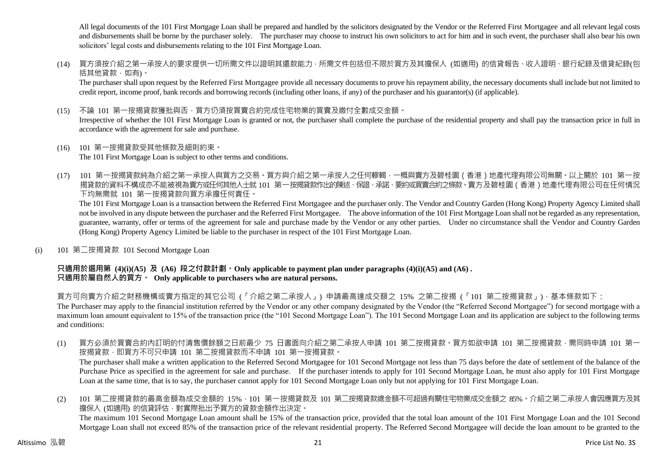All legal documents of the 101 First Mortgage Loan shall be prepared and handled by the solicitors designated by the Vendor or the Referred First Mortgagee and all relevant legal costs and disbursements shall be borne by the purchaser solely. The purchaser may choose to instruct his own solicitors to act for him and in such event, the purchaser shall also bear his own solicitors' legal costs and disbursements relating to the 101 First Mortgage Loan.

(14) 買方須按介紹之第一承按人的要求提供一切所需文件以證明其還款能力,所需文件包括但不限於買方及其擔保人 (如適用) 的信貸報告、收入證明、銀行紀錄及借貸紀錄(包 括其他貸款,如有)。

The purchaser shall upon request by the Referred First Mortgagee provide all necessary documents to prove his repayment ability, the necessary documents shall include but not limited to credit report, income proof, bank records and borrowing records (including other loans, if any) of the purchaser and his guarantor(s) (if applicable).

(15) 不論 101 第一按揭貸款獲批與否,買方仍須按買賣合約完成住宅物業的買賣及繳付全數成交金額。

Irrespective of whether the 101 First Mortgage Loan is granted or not, the purchaser shall complete the purchase of the residential property and shall pay the transaction price in full in accordance with the agreement for sale and purchase.

(16) 101 第一按揭貸款受其他條款及細則約束。

The 101 First Mortgage Loan is subject to other terms and conditions.

(17) 101 第一按揭貸款純為介紹之第一承按人與買方之交易。買方與介紹之第一承按人之任何轇輵,一概與賣方及碧桂園(香港)地產代理有限公司無關。以上關於 101 第一按 揭貸款的資料不構成亦不能被視為賣方或任何其他人士就 101 第一按揭貸款作出的陳述、保證、承諾、要約或買賣合約之條款。賣方及碧桂園(香港)地產代理有限公司在任何情況 下均無需就 101 第一按揭貸款向買方承擔任何責任。

The 101 First Mortgage Loan is a transaction between the Referred First Mortgagee and the purchaser only. The Vendor and Country Garden (Hong Kong) Property Agency Limited shall not be involved in any dispute between the purchaser and the Referred First Mortgagee. The above information of the 101 First Mortgage Loan shall not be regarded as any representation, guarantee, warranty, offer or terms of the agreement for sale and purchase made by the Vendor or any other parties. Under no circumstance shall the Vendor and Country Garden (Hong Kong) Property Agency Limited be liable to the purchaser in respect of the 101 First Mortgage Loan.

(i) 101 第二按揭貸款 101 Second Mortgage Loan

# **只適用於選用第 (4)(i)(A5) 及 (A6) 段之付款計劃。Only applicable to payment plan under paragraphs (4)(i)(A5) and (A6) . 只適用於屬自然人的買方。 Only applicable to purchasers who are natural persons.**

買方可向賣方介紹之財務機構或賣方指定的其它公司 (「介紹之第二承按人」) 申請最高達成交額之 15% 之第二按揭 (「101 第二按揭貸款」),基本條款如下: The Purchaser may apply to the financial institution referred by the Vendor or any other company designated by the Vendor (the "Referred Second Mortgagee") for second mortgage with a maximum loan amount equivalent to 15% of the transaction price (the "101 Second Mortgage Loan"). The 101 Second Mortgage Loan and its application are subject to the following terms and conditions:

- (1) 買方必須於買賣合約內訂明的付清售價餘額之日前最少 75 日書面向介紹之第二承按人申請 101 第二按揭貸款。買方如欲申請 101 第二按揭貸款,需同時申請 101 第一 按揭貸款, 即買方不可只申請 101 第二按揭貸款而不申請 101 第一按揭貸款。 The purchaser shall make a written application to the Referred Second Mortgagee for 101 Second Mortgage not less than 75 days before the date of settlement of the balance of the Purchase Price as specified in the agreement for sale and purchase. If the purchaser intends to apply for 101 Second Mortgage Loan, he must also apply for 101 First Mortgage Loan at the same time, that is to say, the purchaser cannot apply for 101 Second Mortgage Loan only but not applying for 101 First Mortgage Loan.
- (2) 101 第二按揭貸款的最高金額為成交金額的 15%,101 第一按揭貸款及 101 第二按揭貸款總金額不可超過有關住宅物業成交金額之 85%。介紹之第二承按人會因應買方及其 擔保人 (如適用) 的信貸評估, 對實際批出予買方的貸款金額作出決定。 The maximum 101 Second Mortgage Loan amount shall be 15% of the transaction price, provided that the total loan amount of the 101 First Mortgage Loan and the 101 Second Mortgage Loan shall not exceed 85% of the transaction price of the relevant residential property. The Referred Second Mortgagee will decide the loan amount to be granted to the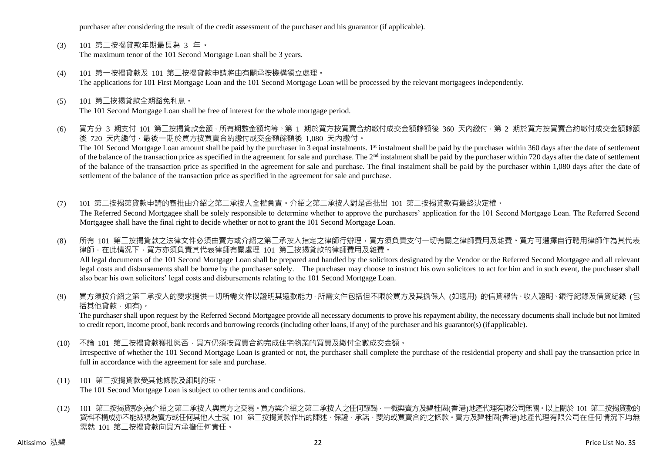purchaser after considering the result of the credit assessment of the purchaser and his guarantor (if applicable).

- (3) 101 第二按揭貸款年期最長為 3 年。 The maximum tenor of the 101 Second Mortgage Loan shall be 3 years.
- (4) 101 第一按揭貸款及 101 第二按揭貸款申請將由有關承按機構獨立處理。 The applications for 101 First Mortgage Loan and the 101 Second Mortgage Loan will be processed by the relevant mortgagees independently.
- (5) 101 第二按揭貸款全期豁免利息。 The 101 Second Mortgage Loan shall be free of interest for the whole mortgage period.
- (6) 買方分 3 期支付 101 第二按揭貸款金額,所有期數金額均等。第 1 期於買方按買賣合約繳付成交金額餘額後 360 天內繳付,第 2 期於買方按買賣合約繳付成交金額餘額 後 720 天內繳付,最後一期於買方按買賣合約繳付成交金額餘額後 1,080 天內繳付。 The 101 Second Mortgage Loan amount shall be paid by the purchaser in 3 equal instalments. 1<sup>st</sup> instalment shall be paid by the purchaser within 360 days after the date of settlement of the balance of the transaction price as specified in the agreement for sale and purchase. The  $2<sup>nd</sup>$  instalment shall be paid by the purchaser within 720 days after the date of settlement of the balance of the transaction price as specified in the agreement for sale and purchase. The final instalment shall be paid by the purchaser within 1,080 days after the date of settlement of the balance of the transaction price as specified in the agreement for sale and purchase.
- (7) 101 第二按揭第貸款申請的審批由介紹之第二承按人全權負責。介紹之第二承按人對是否批出 101 第二按揭貸款有最終決定權。 The Referred Second Mortgagee shall be solely responsible to determine whether to approve the purchasers' application for the 101 Second Mortgage Loan. The Referred Second Mortgagee shall have the final right to decide whether or not to grant the 101 Second Mortgage Loan.
- (8) 所有 101 第二按揭貸款之法律文件必須由賣方或介紹之第二承按人指定之律師行辦理,買方須負責支付一切有關之律師費用及雜費。買方可選擇自行聘用律師作為其代表 律師,在此情況下,買方亦須負責其代表律師有關處理 101 第二按揭貸款的律師費用及雜費。 All legal documents of the 101 Second Mortgage Loan shall be prepared and handled by the solicitors designated by the Vendor or the Referred Second Mortgagee and all relevant legal costs and disbursements shall be borne by the purchaser solely. The purchaser may choose to instruct his own solicitors to act for him and in such event, the purchaser shall also bear his own solicitors' legal costs and disbursements relating to the 101 Second Mortgage Loan.
- (9) 買方須按介紹之第二承按人的要求提供一切所需文件以證明其還款能力,所需文件包括但不限於買方及其擔保人 (如適用) 的信貸報告、收入證明、銀行紀錄及借貸紀錄 (包 括其他貸款,如有)。

The purchaser shall upon request by the Referred Second Mortgagee provide all necessary documents to prove his repayment ability, the necessary documents shall include but not limited to credit report, income proof, bank records and borrowing records (including other loans, if any) of the purchaser and his guarantor(s) (if applicable).

- (10) 不論 101 第二按揭貸款獲批與否,買方仍須按買賣合約完成住宅物業的買賣及繳付全數成交金額。 Irrespective of whether the 101 Second Mortgage Loan is granted or not, the purchaser shall complete the purchase of the residential property and shall pay the transaction price in full in accordance with the agreement for sale and purchase.
- (11) 101 第二按揭貸款受其他條款及細則約束。

The 101 Second Mortgage Loan is subject to other terms and conditions.

(12) 101 第二按揭貸款純為介紹之第二承按人與買方之交易。買方與介紹之第二承按人之任何轇輵,一概與賣方及碧桂園(香港)地產代理有限公司無關。以上關於 101 第二按揭貸款的 資料不構成亦不能被視為賣方或任何其他人士就 101 第二按揭貸款作出的陳述、保證、承諾、要約或買賣合約之條款。賣方及碧桂園(香港)地產代理有限公司在任何情況下均無 需就 101 第二按揭貸款向買方承擔任何責任。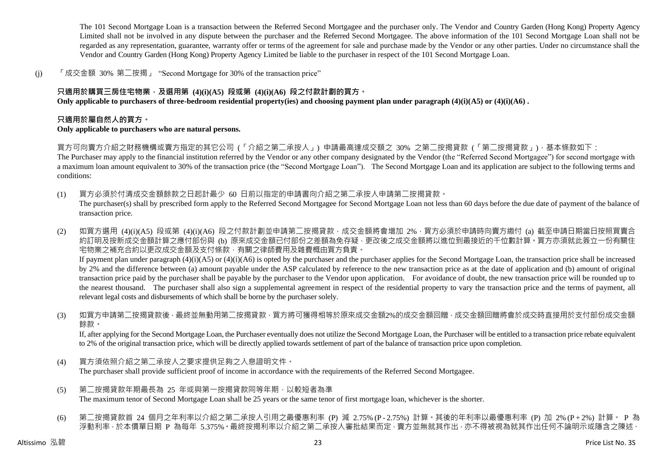The 101 Second Mortgage Loan is a transaction between the Referred Second Mortgagee and the purchaser only. The Vendor and Country Garden (Hong Kong) Property Agency Limited shall not be involved in any dispute between the purchaser and the Referred Second Mortgagee. The above information of the 101 Second Mortgage Loan shall not be regarded as any representation, guarantee, warranty offer or terms of the agreement for sale and purchase made by the Vendor or any other parties. Under no circumstance shall the Vendor and Country Garden (Hong Kong) Property Agency Limited be liable to the purchaser in respect of the 101 Second Mortgage Loan.

(j) 「成交金額 30% 第二按揭」 "Second Mortgage for 30% of the transaction price"

# **只適用於購買三房住宅物業,及選用第 (4)(i)(A5) 段或第 (4)(i)(A6) 段之付款計劃的買方。**

**Only applicable to purchasers of three-bedroom residential property(ies) and choosing payment plan under paragraph (4)(i)(A5) or (4)(i)(A6) .**

## **只適用於屬自然人的買方。**

#### **Only applicable to purchasers who are natural persons.**

買方可向賣方介紹之財務機構或賣方指定的其它公司 (「介紹之第二承按人」) 申請最高達成交額之 30% 之第二按揭貸款 (「第二按揭貸款」),基本條款如下:

The Purchaser may apply to the financial institution referred by the Vendor or any other company designated by the Vendor (the "Referred Second Mortgagee") for second mortgage with a maximum loan amount equivalent to 30% of the transaction price (the "Second Mortgage Loan"). The Second Mortgage Loan and its application are subject to the following terms and conditions:

- (1) 買方必須於付清成交金額餘款之日起計最少 60 日前以指定的申請書向介紹之第二承按人申請第二按揭貸款。 The purchaser(s) shall by prescribed form apply to the Referred Second Mortgagee for Second Mortgage Loan not less than 60 days before the due date of payment of the balance of transaction price.
- (2) 如買方選用 (4)(i)(A5) 段或第 (4)(i)(A6) 段之付款計劃並申請第二按揭貸款,成交金額將會增加 2%,買方必須於申請時向賣方繳付 (a) 截至申請日期當日按照買賣合 約訂明及按新成交金額計算之應付部份與 (b) 原來成交金額已付部份之差額為免存疑,更改後之成交金額將以進位到最接近的千位數計算。買方亦須就此簽立一份有關住 宅物業之補充合約以更改成交金額及支付條款,有關之律師費用及雜費概由買方負責。 If payment plan under paragraph (4)(i)(A5) or (4)(i)(A6) is opted by the purchaser and the purchaser applies for the Second Mortgage Loan, the transaction price shall be increased by 2% and the difference between (a) amount payable under the ASP calculated by reference to the new transaction price as at the date of application and (b) amount of original transaction price paid by the purchaser shall be payable by the purchaser to the Vendor upon application. For avoidance of doubt, the new transaction price will be rounded up to the nearest thousand. The purchaser shall also sign a supplemental agreement in respect of the residential property to vary the transaction price and the terms of payment, all relevant legal costs and disbursements of which shall be borne by the purchaser solely.
- (3) 如買方申請第二按揭貸款後 · 最終並無動用第二按揭貸款 · 買方將可獲得相等於原來成交金額2%的成交金額回贈 · 成交金額回贈將會於成交時直接用於支付部份成交金額 餘款。

If, after applying for the Second Mortgage Loan, the Purchaser eventually does not utilize the Second Mortgage Loan, the Purchaser will be entitled to a transaction price rebate equivalent to 2% of the original transaction price, which will be directly applied towards settlement of part of the balance of transaction price upon completion.

- (4) 買方須依照介紹之第二承按人之要求提供足夠之入息證明文件。 The purchaser shall provide sufficient proof of income in accordance with the requirements of the Referred Second Mortgagee.
- (5) 第二按揭貸款年期最長為 25 年或與第一按揭貸款同等年期,以較短者為準 The maximum tenor of Second Mortgage Loan shall be 25 years or the same tenor of first mortgage loan, whichever is the shorter.
- (6) 第二按揭貸款首 24 個月之年利率以介紹之第二承按人引用之最優惠利率 (P) 減 2.75% (P 2.75%) 計算。其後的年利率以最優惠利率 (P) 加 2% (P + 2%) 計算。 P 為 浮動利率,於本價單日期 P 為每年 5.375%。最終按揭利率以介紹之第二承按人審批結果而定,賣方並無就其作出,亦不得被視為就其作出任何不論明示或隱含之陳述、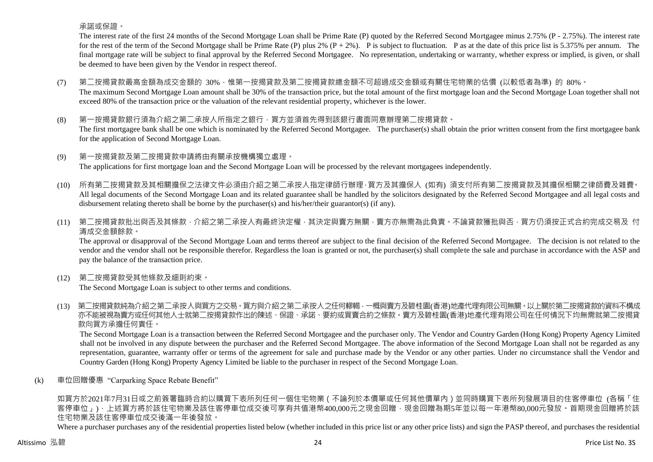承諾或保證。

The interest rate of the first 24 months of the Second Mortgage Loan shall be Prime Rate (P) quoted by the Referred Second Mortgagee minus 2.75% (P - 2.75%). The interest rate for the rest of the term of the Second Mortgage shall be Prime Rate (P) plus 2%  $(P + 2\%)$ . P is subject to fluctuation. P as at the date of this price list is 5.375% per annum. The final mortgage rate will be subject to final approval by the Referred Second Mortgagee. No representation, undertaking or warranty, whether express or implied, is given, or shall be deemed to have been given by the Vendor in respect thereof.

- (7) 第二按揭貸款最高金額為成交金額的 30%,惟第一按揭貸款及第二按揭貸款總金額不可超過成交金額或有關住宅物業的估價 (以較低者為準) 的 80%。 The maximum Second Mortgage Loan amount shall be 30% of the transaction price, but the total amount of the first mortgage loan and the Second Mortgage Loan together shall not exceed 80% of the transaction price or the valuation of the relevant residential property, whichever is the lower.
- (8) 第一按揭貸款銀行須為介紹之第二承按人所指定之銀行,買方並須首先得到該銀行書面同意辦理第二按揭貸款。 The first mortgagee bank shall be one which is nominated by the Referred Second Mortgagee. The purchaser(s) shall obtain the prior written consent from the first mortgagee bank for the application of Second Mortgage Loan.
- (9) 第一按揭貸款及第二按揭貸款申請將由有關承按機構獨立處理。 The applications for first mortgage loan and the Second Mortgage Loan will be processed by the relevant mortgagees independently.
- (10) 所有第二按揭貸款及其相關擔保之法律文件必須由介紹之第二承按人指定律師行辦理,買方及其擔保人 (如有) 須支付所有第二按揭貸款及其擔保相關之律師費及雜費。 All legal documents of the Second Mortgage Loan and its related guarantee shall be handled by the solicitors designated by the Referred Second Mortgagee and all legal costs and disbursement relating thereto shall be borne by the purchaser(s) and his/her/their guarantor(s) (if any).
- (11) 第二按揭貸款批出與否及其條款,介紹之第二承按人有最終決定權,其決定與賣方無關,賣方亦無需為此負責。不論貸款獲批與否,買方仍須按正式合約完成交易及 付 清成交金額餘款。

The approval or disapproval of the Second Mortgage Loan and terms thereof are subject to the final decision of the Referred Second Mortgagee. The decision is not related to the vendor and the vendor shall not be responsible therefor. Regardless the loan is granted or not, the purchaser(s) shall complete the sale and purchase in accordance with the ASP and pay the balance of the transaction price.

(12) 第二按揭貸款受其他條款及細則約束。

The Second Mortgage Loan is subject to other terms and conditions.

(13) 第二按揭貸款純為介紹之第二承按人與買方之交易。買方與介紹之第二承按人之任何轇輵,一概與賣方及碧桂園(香港)地產代理有限公司無關。以上關於第二按揭貸款的資料不構成 亦不能被視為賣方或任何其他人士就第二按揭貸款作出的陳述、保證、承諾、要約或買賣合約之條款。賣方及碧桂園(香港)地產代理有限公司在任何情況下均無需就第二按揭貸 款向買方承擔任何責任。

The Second Mortgage Loan is a transaction between the Referred Second Mortgagee and the purchaser only. The Vendor and Country Garden (Hong Kong) Property Agency Limited shall not be involved in any dispute between the purchaser and the Referred Second Mortgagee. The above information of the Second Mortgage Loan shall not be regarded as any representation, guarantee, warranty offer or terms of the agreement for sale and purchase made by the Vendor or any other parties. Under no circumstance shall the Vendor and Country Garden (Hong Kong) Property Agency Limited be liable to the purchaser in respect of the Second Mortgage Loan.

(k) 車位回贈優惠 "Carparking Space Rebate Benefit"

如買方於2021年7月31日或之前簽署臨時合約以購買下表所列任何一個住宅物業(不論列於本價單或任何其他價單內)並同時購買下表所列發展項目的住客停車位 (各稱「住 客停車位」),上述買方將於該住宅物業及該住客停車位成交後可享有共值港幣400,000元之現金回贈,現金回贈為期5年並以每一年港幣80,000元發放。首期現金回贈將於該 住宅物業及該住客停車位成交後滿一年後發放。

Where a purchaser purchases any of the residential properties listed below (whether included in this price list or any other price lists) and sign the PASP thereof, and purchases the residential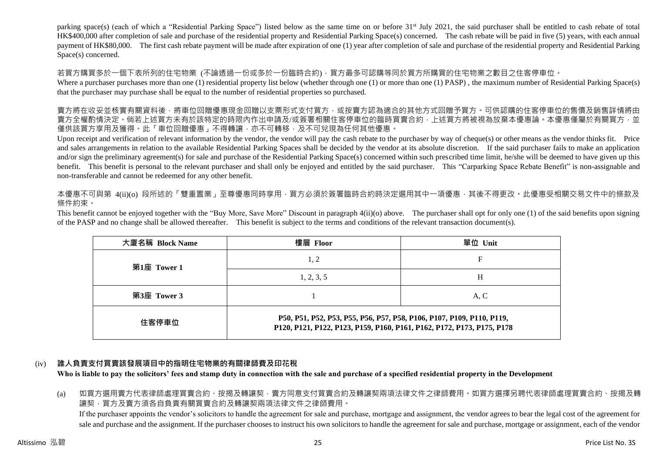parking space(s) (each of which a "Residential Parking Space") listed below as the same time on or before 31<sup>st</sup> July 2021, the said purchaser shall be entitled to cash rebate of total HK\$400,000 after completion of sale and purchase of the residential property and Residential Parking Space(s) concerned. The cash rebate will be paid in five (5) years, with each annual payment of HK\$80,000. The first cash rebate payment will be made after expiration of one (1) year after completion of sale and purchase of the residential property and Residential Parking Space(s) concerned.

若買方購買多於一個下表所列的住宅物業 (不論透過一份或多於一份臨時合約),買方最多可認購等同於買方所購買的住宅物業之數目之住客停車位。

Where a purchaser purchases more than one (1) residential property list below (whether through one (1) or more than one (1) PASP), the maximum number of Residential Parking Space(s) that the purchaser may purchase shall be equal to the number of residential properties so purchased.

賣方將在收妥並核實有關資料後,將車位回贈優惠現金回贈以支票形式支付買方,或按賣方認為適合的其他方式回贈予買方。可供認購的住客停車位的售價及銷售詳情將由 賣方全權酌情決定。倘若上述買方未有於該特定的時限內作出申請及/或簽署相關住客停車位的臨時買賣合約,上述買方將被視為放棄本優惠論。本優惠僅屬於有關買方,並 僅供該買方享用及獲得。此「車位回贈優惠」不得轉讓,亦不可轉移,及不可兌現為任何其他優惠。

Upon receipt and verification of relevant information by the vendor, the vendor will pay the cash rebate to the purchaser by way of cheque(s) or other means as the vendor thinks fit. Price and sales arrangements in relation to the available Residential Parking Spaces shall be decided by the vendor at its absolute discretion. If the said purchaser fails to make an application and/or sign the preliminary agreement(s) for sale and purchase of the Residential Parking Space(s) concerned within such prescribed time limit, he/she will be deemed to have given up this benefit. This benefit is personal to the relevant purchaser and shall only be enjoyed and entitled by the said purchaser. This "Carparking Space Rebate Benefit" is non-assignable and non-transferable and cannot be redeemed for any other benefit.

本優惠不可與第 4(ii)(o) 段所述的「雙重置業」至尊優惠同時享用,買方必須於簽署臨時合約時決定選用其中一項優惠,其後不得更改。此優惠受相關交易文件中的條款及 條件約束。

This benefit cannot be enjoyed together with the "Buy More, Save More" Discount in paragraph 4(ii)(o) above. The purchaser shall opt for only one (1) of the said benefits upon signing of the PASP and no change shall be allowed thereafter. This benefit is subject to the terms and conditions of the relevant transaction document(s).

| 大廈名稱 Block Name | 樓層 Floor                                                                                                                                        | 單位 Unit |  |  |  |  |  |
|-----------------|-------------------------------------------------------------------------------------------------------------------------------------------------|---------|--|--|--|--|--|
| 第1座 Tower 1     | 1, 2                                                                                                                                            | F       |  |  |  |  |  |
|                 | 1, 2, 3, 5                                                                                                                                      | Н       |  |  |  |  |  |
| 第3座 Tower 3     |                                                                                                                                                 | A, C    |  |  |  |  |  |
| 住客停車位           | P50, P51, P52, P53, P55, P56, P57, P58, P106, P107, P109, P110, P119,<br>P120, P121, P122, P123, P159, P160, P161, P162, P172, P173, P175, P178 |         |  |  |  |  |  |

# (iv) **誰人負責支付買賣該發展項目中的指明住宅物業的有關律師費及印花稅**

**Who is liable to pay the solicitors' fees and stamp duty in connection with the sale and purchase of a specified residential property in the Development**

(a) 如買方選用賣方代表律師處理買賣合約、按揭及轉讓契,賣方同意支付買賣合約及轉讓契兩項法律文件之律師費用。如買方選擇另聘代表律師處理買賣合約、按揭及轉 讓契,買方及賣方須各自負責有關買賣合約及轉讓契兩項法律文件之律師費用。 If the purchaser appoints the vendor's solicitors to handle the agreement for sale and purchase, mortgage and assignment, the vendor agrees to bear the legal cost of the agreement for sale and purchase and the assignment. If the purchaser chooses to instruct his own solicitors to handle the agreement for sale and purchase, mortgage or assignment, each of the vendor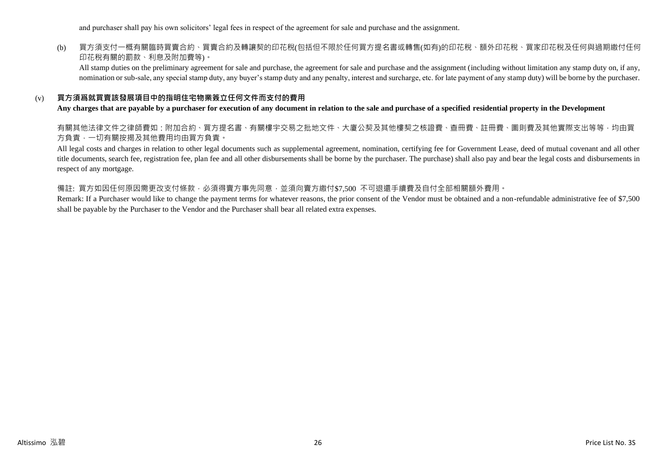and purchaser shall pay his own solicitors' legal fees in respect of the agreement for sale and purchase and the assignment.

# (b) 買方須支付一概有關臨時買賣合約、買賣合約及轉讓契的印花稅(包括但不限於任何買方提名書或轉售(如有)的印花稅、額外印花稅、買家印花稅及任何與過期繳付任何 印花稅有關的罰款、利息及附加費等)。

All stamp duties on the preliminary agreement for sale and purchase, the agreement for sale and purchase and the assignment (including without limitation any stamp duty on, if any, nomination or sub-sale, any special stamp duty, any buyer's stamp duty and any penalty, interest and surcharge, etc. for late payment of any stamp duty) will be borne by the purchaser.

# (v) **買方須爲就買賣該發展項目中的指明住宅物業簽立任何文件而支付的費用**

#### **Any charges that are payable by a purchaser for execution of any document in relation to the sale and purchase of a specified residential property in the Development**

有關其他法律文件之律師費如:附加合約、買方提名書、有關樓宇交易之批地文件、大廈公契及其他樓契之核證費、查冊費、註冊費、圖則費及其他實際支出等等,均由買 方負責,一切有關按揭及其他費用均由買方負責。

All legal costs and charges in relation to other legal documents such as supplemental agreement, nomination, certifying fee for Government Lease, deed of mutual covenant and all other title documents, search fee, registration fee, plan fee and all other disbursements shall be borne by the purchaser. The purchase) shall also pay and bear the legal costs and disbursements in respect of any mortgage.

#### 備註: 買方如因任何原因需更改支付條款,必須得賣方事先同意,並須向賣方繳付\$7,500 不可退還手續費及自付全部相關額外費用。

Remark: If a Purchaser would like to change the payment terms for whatever reasons, the prior consent of the Vendor must be obtained and a non-refundable administrative fee of \$7,500 shall be payable by the Purchaser to the Vendor and the Purchaser shall bear all related extra expenses.